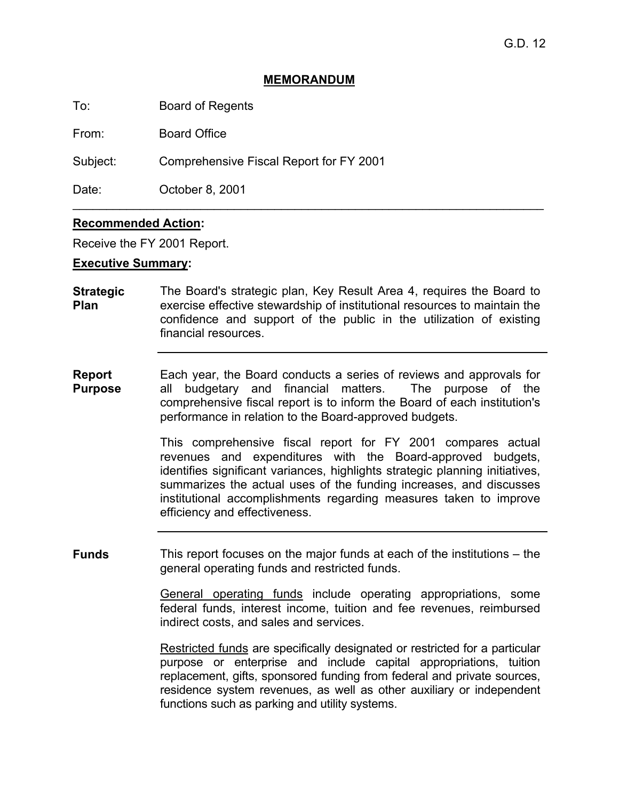#### **MEMORANDUM**

To: Board of Regents

From: Board Office

Subject: Comprehensive Fiscal Report for FY 2001

Date: **October 8, 2001** 

## **Recommended Action:**

Receive the FY 2001 Report.

#### **Executive Summary:**

**Strategic Plan**  The Board's strategic plan, Key Result Area 4, requires the Board to exercise effective stewardship of institutional resources to maintain the confidence and support of the public in the utilization of existing financial resources.

\_\_\_\_\_\_\_\_\_\_\_\_\_\_\_\_\_\_\_\_\_\_\_\_\_\_\_\_\_\_\_\_\_\_\_\_\_\_\_\_\_\_\_\_\_\_\_\_\_\_\_\_\_\_\_\_\_\_\_\_\_\_\_\_\_\_\_\_\_\_

**Report Purpose**  Each year, the Board conducts a series of reviews and approvals for all budgetary and financial matters. The purpose of the comprehensive fiscal report is to inform the Board of each institution's performance in relation to the Board-approved budgets.

> This comprehensive fiscal report for FY 2001 compares actual revenues and expenditures with the Board-approved budgets, identifies significant variances, highlights strategic planning initiatives, summarizes the actual uses of the funding increases, and discusses institutional accomplishments regarding measures taken to improve efficiency and effectiveness.

**Funds** This report focuses on the major funds at each of the institutions – the general operating funds and restricted funds.

> General operating funds include operating appropriations, some federal funds, interest income, tuition and fee revenues, reimbursed indirect costs, and sales and services.

> Restricted funds are specifically designated or restricted for a particular purpose or enterprise and include capital appropriations, tuition replacement, gifts, sponsored funding from federal and private sources, residence system revenues, as well as other auxiliary or independent functions such as parking and utility systems.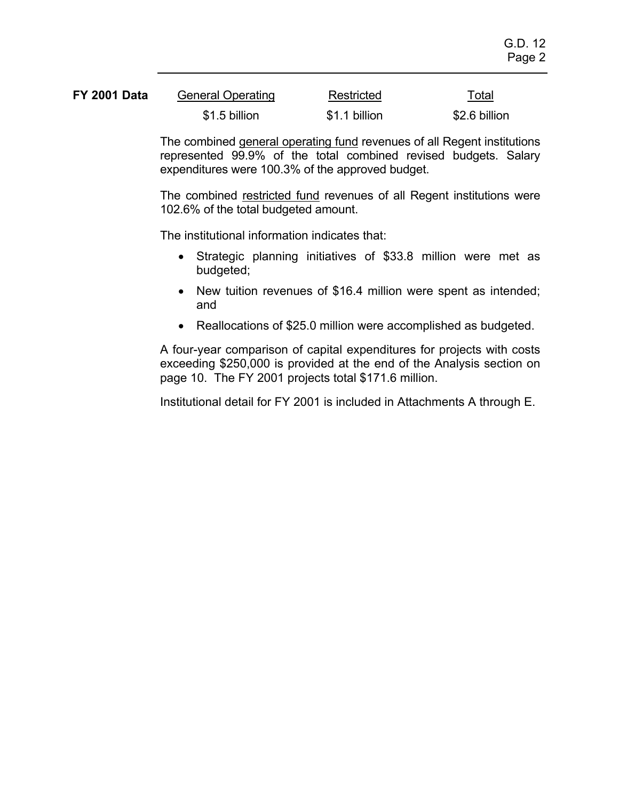| <b>FY 2001 Data</b> | <b>General Operating</b> | Restricted    | Total<br>---- |
|---------------------|--------------------------|---------------|---------------|
|                     | \$1.5 billion            | \$1.1 billion | \$2.6 billion |

The combined general operating fund revenues of all Regent institutions represented 99.9% of the total combined revised budgets. Salary expenditures were 100.3% of the approved budget.

The combined restricted fund revenues of all Regent institutions were 102.6% of the total budgeted amount.

The institutional information indicates that:

- Strategic planning initiatives of \$33.8 million were met as budgeted;
- New tuition revenues of \$16.4 million were spent as intended; and
- Reallocations of \$25.0 million were accomplished as budgeted.

A four-year comparison of capital expenditures for projects with costs exceeding \$250,000 is provided at the end of the Analysis section on page 10. The FY 2001 projects total \$171.6 million.

Institutional detail for FY 2001 is included in Attachments A through E.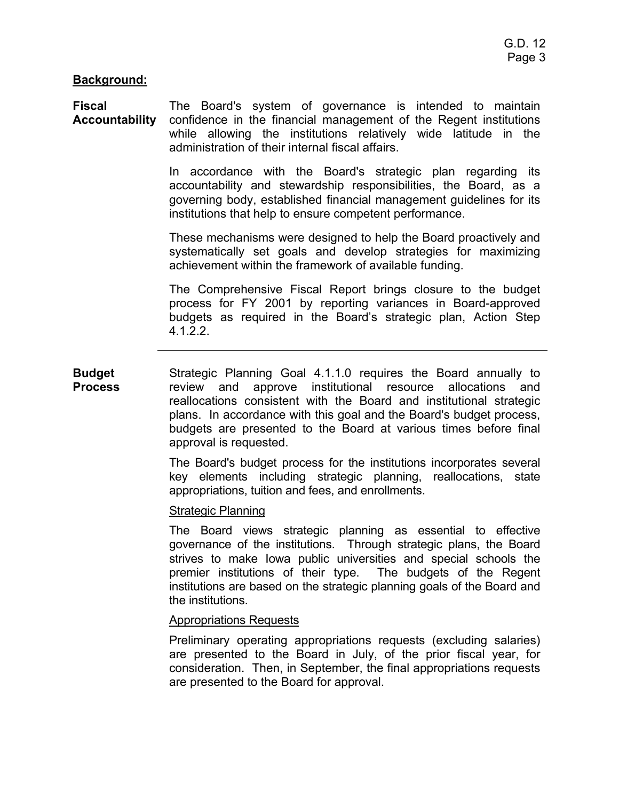#### **Background:**

**Fiscal Accountability**  The Board's system of governance is intended to maintain confidence in the financial management of the Regent institutions while allowing the institutions relatively wide latitude in the administration of their internal fiscal affairs.

> In accordance with the Board's strategic plan regarding its accountability and stewardship responsibilities, the Board, as a governing body, established financial management guidelines for its institutions that help to ensure competent performance.

> These mechanisms were designed to help the Board proactively and systematically set goals and develop strategies for maximizing achievement within the framework of available funding.

> The Comprehensive Fiscal Report brings closure to the budget process for FY 2001 by reporting variances in Board-approved budgets as required in the Board's strategic plan, Action Step 4.1.2.2.

**Budget Process**  Strategic Planning Goal 4.1.1.0 requires the Board annually to review and approve institutional resource allocations and reallocations consistent with the Board and institutional strategic plans. In accordance with this goal and the Board's budget process, budgets are presented to the Board at various times before final approval is requested.

> The Board's budget process for the institutions incorporates several key elements including strategic planning, reallocations, state appropriations, tuition and fees, and enrollments.

#### **Strategic Planning**

The Board views strategic planning as essential to effective governance of the institutions. Through strategic plans, the Board strives to make Iowa public universities and special schools the premier institutions of their type. The budgets of the Regent institutions are based on the strategic planning goals of the Board and the institutions.

#### Appropriations Requests

Preliminary operating appropriations requests (excluding salaries) are presented to the Board in July, of the prior fiscal year, for consideration. Then, in September, the final appropriations requests are presented to the Board for approval.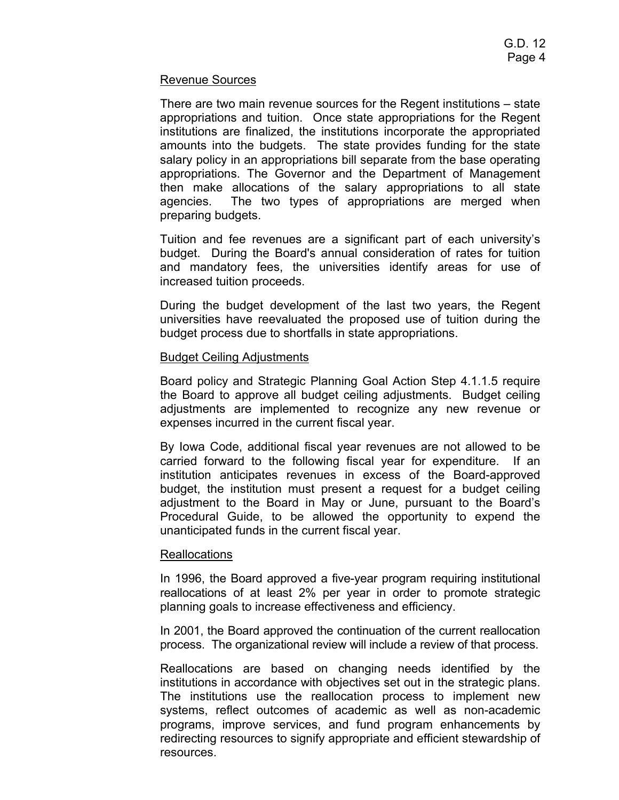#### Revenue Sources

There are two main revenue sources for the Regent institutions – state appropriations and tuition. Once state appropriations for the Regent institutions are finalized, the institutions incorporate the appropriated amounts into the budgets. The state provides funding for the state salary policy in an appropriations bill separate from the base operating appropriations. The Governor and the Department of Management then make allocations of the salary appropriations to all state agencies. The two types of appropriations are merged when preparing budgets.

Tuition and fee revenues are a significant part of each university's budget. During the Board's annual consideration of rates for tuition and mandatory fees, the universities identify areas for use of increased tuition proceeds.

During the budget development of the last two years, the Regent universities have reevaluated the proposed use of tuition during the budget process due to shortfalls in state appropriations.

#### Budget Ceiling Adjustments

Board policy and Strategic Planning Goal Action Step 4.1.1.5 require the Board to approve all budget ceiling adjustments. Budget ceiling adjustments are implemented to recognize any new revenue or expenses incurred in the current fiscal year.

By Iowa Code, additional fiscal year revenues are not allowed to be carried forward to the following fiscal year for expenditure. If an institution anticipates revenues in excess of the Board-approved budget, the institution must present a request for a budget ceiling adjustment to the Board in May or June, pursuant to the Board's Procedural Guide, to be allowed the opportunity to expend the unanticipated funds in the current fiscal year.

#### **Reallocations**

In 1996, the Board approved a five-year program requiring institutional reallocations of at least 2% per year in order to promote strategic planning goals to increase effectiveness and efficiency.

In 2001, the Board approved the continuation of the current reallocation process. The organizational review will include a review of that process.

Reallocations are based on changing needs identified by the institutions in accordance with objectives set out in the strategic plans. The institutions use the reallocation process to implement new systems, reflect outcomes of academic as well as non-academic programs, improve services, and fund program enhancements by redirecting resources to signify appropriate and efficient stewardship of resources.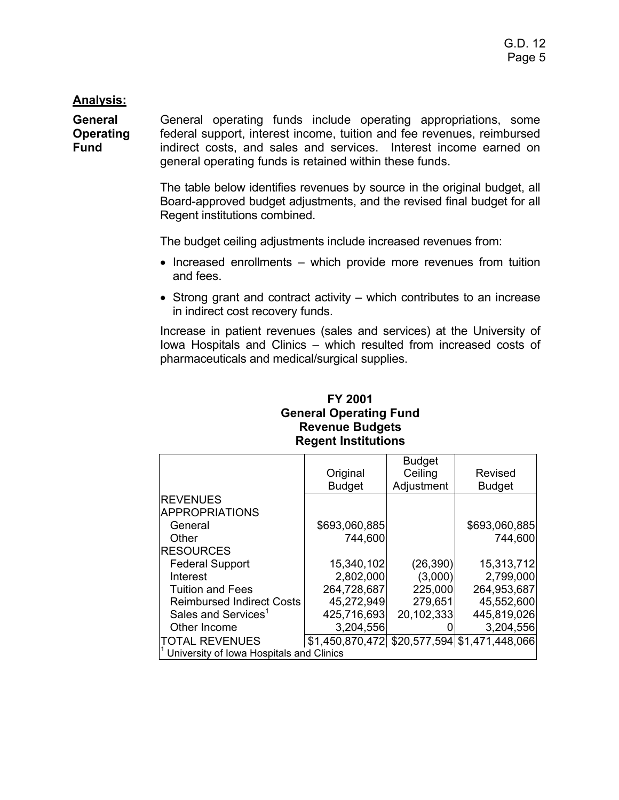## **Analysis:**

**General Operating Fund**  General operating funds include operating appropriations, some federal support, interest income, tuition and fee revenues, reimbursed indirect costs, and sales and services. Interest income earned on general operating funds is retained within these funds.

> The table below identifies revenues by source in the original budget, all Board-approved budget adjustments, and the revised final budget for all Regent institutions combined.

The budget ceiling adjustments include increased revenues from:

- Increased enrollments which provide more revenues from tuition and fees.
- Strong grant and contract activity which contributes to an increase in indirect cost recovery funds.

Increase in patient revenues (sales and services) at the University of Iowa Hospitals and Clinics – which resulted from increased costs of pharmaceuticals and medical/surgical supplies.

## **FY 2001 General Operating Fund Revenue Budgets Regent Institutions**

|                                          |               | <b>Budget</b> |                                              |
|------------------------------------------|---------------|---------------|----------------------------------------------|
|                                          | Original      | Ceiling       | Revised                                      |
|                                          | <b>Budget</b> | Adjustment    | <b>Budget</b>                                |
| <b>REVENUES</b>                          |               |               |                                              |
| <b>APPROPRIATIONS</b>                    |               |               |                                              |
| General                                  | \$693,060,885 |               | \$693,060,885                                |
| Other                                    | 744,600       |               | 744,600                                      |
| <b>RESOURCES</b>                         |               |               |                                              |
| <b>Federal Support</b>                   | 15,340,102    | (26, 390)     | 15,313,712                                   |
| Interest                                 | 2,802,000     | (3,000)       | 2,799,000                                    |
| <b>Tuition and Fees</b>                  | 264,728,687   | 225,000       | 264,953,687                                  |
| <b>Reimbursed Indirect Costs</b>         | 45,272,949    | 279,651       | 45,552,600                                   |
| Sales and Services <sup>1</sup>          | 425,716,693   | 20,102,333    | 445,819,026                                  |
| Other Income                             | 3,204,556     |               | 3,204,556                                    |
| <b>TOTAL REVENUES</b>                    |               |               | \$1,450,870,472 \$20,577,594 \$1,471,448,066 |
| University of Iowa Hospitals and Clinics |               |               |                                              |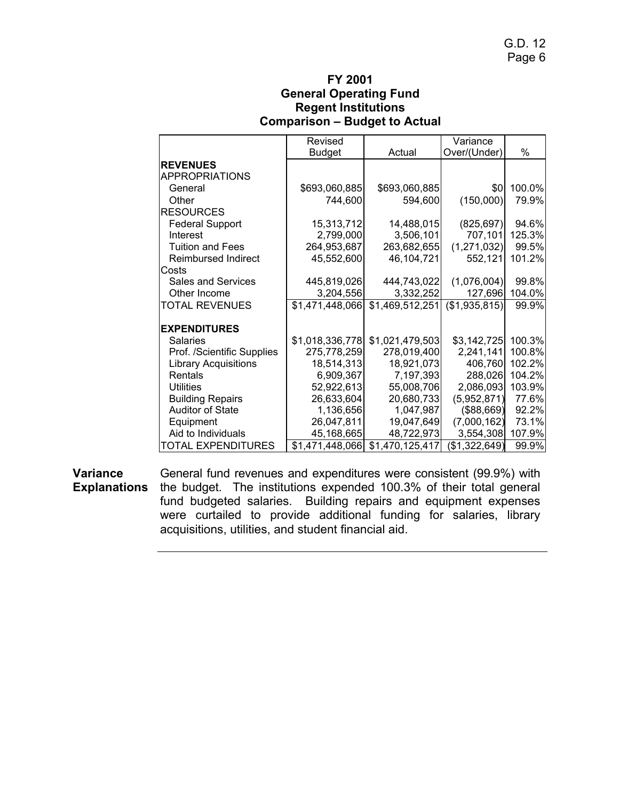## **FY 2001 General Operating Fund Regent Institutions Comparison – Budget to Actual**

|                             | Revised         |                 | Variance      |        |
|-----------------------------|-----------------|-----------------|---------------|--------|
|                             | <b>Budget</b>   | Actual          | Over/(Under)  | %      |
| <b>REVENUES</b>             |                 |                 |               |        |
| <b>APPROPRIATIONS</b>       |                 |                 |               |        |
| General                     | \$693,060,885   | \$693,060,885   | \$0           | 100.0% |
| Other                       | 744,600         | 594,600         | (150,000)     | 79.9%  |
| <b>RESOURCES</b>            |                 |                 |               |        |
| <b>Federal Support</b>      | 15,313,712      | 14,488,015      | (825, 697)    | 94.6%  |
| Interest                    | 2,799,000       | 3,506,101       | 707,101       | 125.3% |
| <b>Tuition and Fees</b>     | 264,953,687     | 263,682,655     | (1, 271, 032) | 99.5%  |
| <b>Reimbursed Indirect</b>  | 45,552,600      | 46,104,721      | 552,121       | 101.2% |
| Costs                       |                 |                 |               |        |
| Sales and Services          | 445,819,026     | 444,743,022     | (1,076,004)   | 99.8%  |
| Other Income                | 3,204,556       | 3,332,252       | 127,696       | 104.0% |
| <b>TOTAL REVENUES</b>       | \$1,471,448,066 | \$1,469,512,251 | (\$1,935,815) | 99.9%  |
|                             |                 |                 |               |        |
| <b>EXPENDITURES</b>         |                 |                 |               |        |
| <b>Salaries</b>             | \$1,018,336,778 | \$1,021,479,503 | \$3,142,725   | 100.3% |
| Prof. /Scientific Supplies  | 275,778,259     | 278,019,400     | 2,241,141     | 100.8% |
| <b>Library Acquisitions</b> | 18,514,313      | 18,921,073      | 406,760       | 102.2% |
| Rentals                     | 6,909,367       | 7,197,393       | 288,026       | 104.2% |
| <b>Utilities</b>            | 52,922,613      | 55,008,706      | 2,086,093     | 103.9% |
| <b>Building Repairs</b>     | 26,633,604      | 20,680,733      | (5,952,871)   | 77.6%  |
| <b>Auditor of State</b>     | 1,136,656       | 1,047,987       | ( \$88, 669)  | 92.2%  |
| Equipment                   | 26,047,811      | 19,047,649      | (7,000,162)   | 73.1%  |
| Aid to Individuals          | 45,168,665      | 48,722,973      | 3,554,308     | 107.9% |
| TOTAL EXPENDITURES          | \$1,471,448,066 | \$1,470,125,417 | (\$1,322,649) | 99.9%  |

**Variance Explanations** the budget. The institutions expended 100.3% of their total general General fund revenues and expenditures were consistent (99.9%) with fund budgeted salaries. Building repairs and equipment expenses were curtailed to provide additional funding for salaries, library acquisitions, utilities, and student financial aid.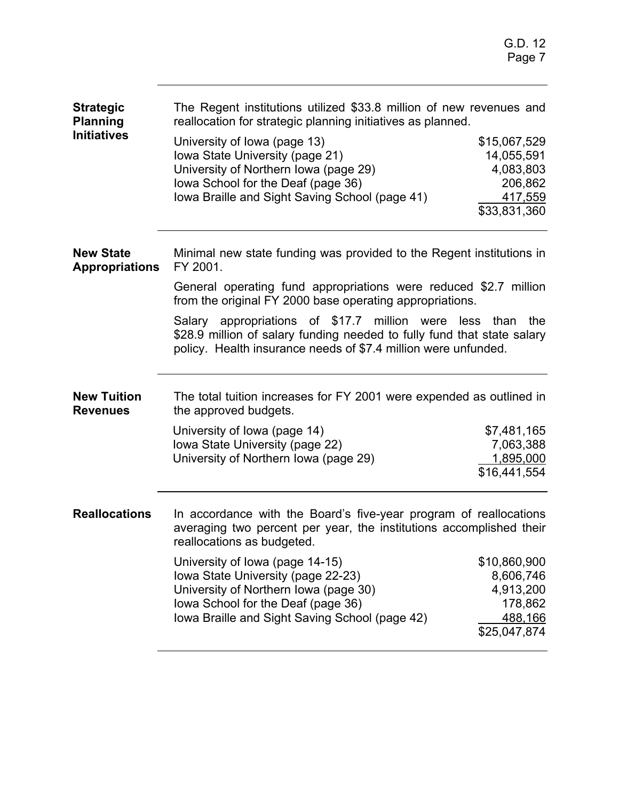| <b>Strategic</b><br><b>Planning</b>       | The Regent institutions utilized \$33.8 million of new revenues and<br>reallocation for strategic planning initiatives as planned.                                                                      |              |  |  |  |
|-------------------------------------------|---------------------------------------------------------------------------------------------------------------------------------------------------------------------------------------------------------|--------------|--|--|--|
| <b>Initiatives</b>                        | University of Iowa (page 13)                                                                                                                                                                            | \$15,067,529 |  |  |  |
|                                           | Iowa State University (page 21)                                                                                                                                                                         | 14,055,591   |  |  |  |
|                                           | University of Northern Iowa (page 29)                                                                                                                                                                   | 4,083,803    |  |  |  |
|                                           | lowa School for the Deaf (page 36)                                                                                                                                                                      | 206,862      |  |  |  |
|                                           | lowa Braille and Sight Saving School (page 41)                                                                                                                                                          | 417,559      |  |  |  |
|                                           |                                                                                                                                                                                                         | \$33,831,360 |  |  |  |
| <b>New State</b><br><b>Appropriations</b> | Minimal new state funding was provided to the Regent institutions in<br>FY 2001.                                                                                                                        |              |  |  |  |
|                                           | General operating fund appropriations were reduced \$2.7 million<br>from the original FY 2000 base operating appropriations.                                                                            |              |  |  |  |
|                                           | Salary appropriations of \$17.7 million were less than the<br>\$28.9 million of salary funding needed to fully fund that state salary<br>policy. Health insurance needs of \$7.4 million were unfunded. |              |  |  |  |
| <b>New Tuition</b><br><b>Revenues</b>     | The total tuition increases for FY 2001 were expended as outlined in<br>the approved budgets.                                                                                                           |              |  |  |  |
|                                           | University of Iowa (page 14)                                                                                                                                                                            | \$7,481,165  |  |  |  |
|                                           | Iowa State University (page 22)                                                                                                                                                                         | 7,063,388    |  |  |  |
|                                           | University of Northern Iowa (page 29)                                                                                                                                                                   | 1,895,000    |  |  |  |
|                                           |                                                                                                                                                                                                         | \$16,441,554 |  |  |  |
| <b>Reallocations</b>                      | In accordance with the Board's five-year program of reallocations<br>averaging two percent per year, the institutions accomplished their<br>reallocations as budgeted.                                  |              |  |  |  |
|                                           | University of Iowa (page 14-15)                                                                                                                                                                         | \$10,860,900 |  |  |  |
|                                           | Iowa State University (page 22-23)                                                                                                                                                                      | 8,606,746    |  |  |  |
|                                           | University of Northern Iowa (page 30)                                                                                                                                                                   | 4,913,200    |  |  |  |
|                                           | lowa School for the Deaf (page 36)                                                                                                                                                                      | 178,862      |  |  |  |
|                                           | Iowa Braille and Sight Saving School (page 42)                                                                                                                                                          | 488,166      |  |  |  |
|                                           |                                                                                                                                                                                                         | \$25,047,874 |  |  |  |
|                                           |                                                                                                                                                                                                         |              |  |  |  |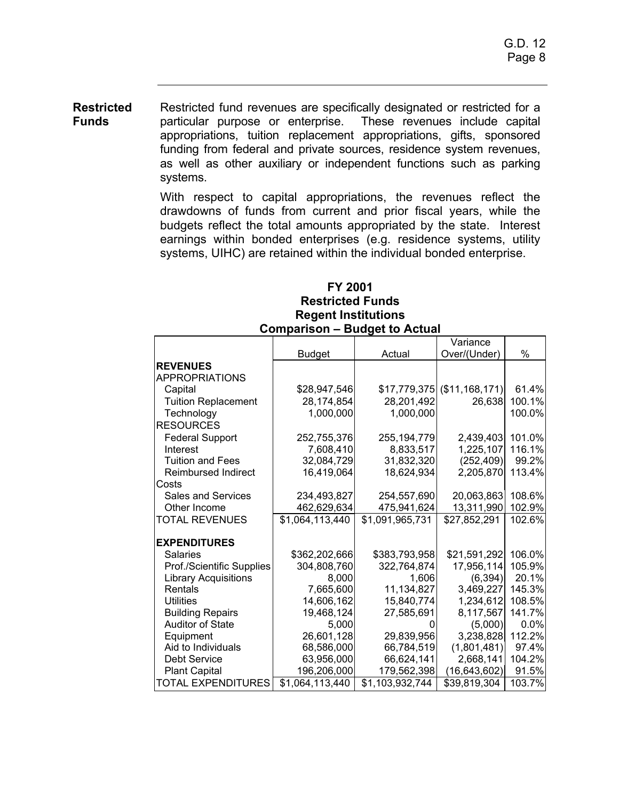**Restricted Funds**  Restricted fund revenues are specifically designated or restricted for a particular purpose or enterprise. These revenues include capital appropriations, tuition replacement appropriations, gifts, sponsored funding from federal and private sources, residence system revenues, as well as other auxiliary or independent functions such as parking systems.

> With respect to capital appropriations, the revenues reflect the drawdowns of funds from current and prior fiscal years, while the budgets reflect the total amounts appropriated by the state. Interest earnings within bonded enterprises (e.g. residence systems, utility systems, UIHC) are retained within the individual bonded enterprise.

### **FY 2001 Restricted Funds Regent Institutions Comparison – Budget to Actual**

|                             |                 |                 | Variance                     |        |
|-----------------------------|-----------------|-----------------|------------------------------|--------|
|                             | <b>Budget</b>   | Actual          | Over/(Under)                 | %      |
| <b>REVENUES</b>             |                 |                 |                              |        |
| <b>APPROPRIATIONS</b>       |                 |                 |                              |        |
| Capital                     | \$28,947,546    |                 | $$17,779,375$ (\$11,168,171) | 61.4%  |
| <b>Tuition Replacement</b>  | 28,174,854      | 28,201,492      | 26,638                       | 100.1% |
| Technology                  | 1,000,000       | 1,000,000       |                              | 100.0% |
| <b>RESOURCES</b>            |                 |                 |                              |        |
| <b>Federal Support</b>      | 252,755,376     | 255, 194, 779   | 2,439,403                    | 101.0% |
| Interest                    | 7,608,410       | 8,833,517       | 1,225,107                    | 116.1% |
| <b>Tuition and Fees</b>     | 32,084,729      | 31,832,320      | (252, 409)                   | 99.2%  |
| <b>Reimbursed Indirect</b>  | 16,419,064      | 18,624,934      | 2,205,870                    | 113.4% |
| Costs                       |                 |                 |                              |        |
| <b>Sales and Services</b>   | 234,493,827     | 254,557,690     | 20,063,863                   | 108.6% |
| Other Income                | 462,629,634     | 475,941,624     | 13,311,990                   | 102.9% |
| <b>TOTAL REVENUES</b>       | \$1,064,113,440 | \$1,091,965,731 | \$27,852,291                 | 102.6% |
| <b>EXPENDITURES</b>         |                 |                 |                              |        |
| <b>Salaries</b>             | \$362,202,666   | \$383,793,958   | \$21,591,292                 | 106.0% |
| Prof./Scientific Supplies   | 304,808,760     | 322,764,874     | 17,956,114                   | 105.9% |
| <b>Library Acquisitions</b> | 8,000           | 1,606           | (6, 394)                     | 20.1%  |
| Rentals                     | 7,665,600       | 11,134,827      | 3,469,227                    | 145.3% |
| <b>Utilities</b>            | 14,606,162      | 15,840,774      | 1,234,612                    | 108.5% |
| <b>Building Repairs</b>     | 19,468,124      | 27,585,691      | 8,117,567                    | 141.7% |
| <b>Auditor of State</b>     | 5,000           |                 | (5,000)                      | 0.0%   |
| Equipment                   | 26,601,128      | 29,839,956      | 3,238,828                    | 112.2% |
| Aid to Individuals          | 68,586,000      | 66,784,519      | (1,801,481)                  | 97.4%  |
| <b>Debt Service</b>         | 63,956,000      | 66,624,141      | 2,668,141                    | 104.2% |
| <b>Plant Capital</b>        | 196,206,000     | 179,562,398     | (16, 643, 602)               | 91.5%  |
| <b>TOTAL EXPENDITURES</b>   | \$1,064,113,440 | \$1,103,932,744 | \$39,819,304                 | 103.7% |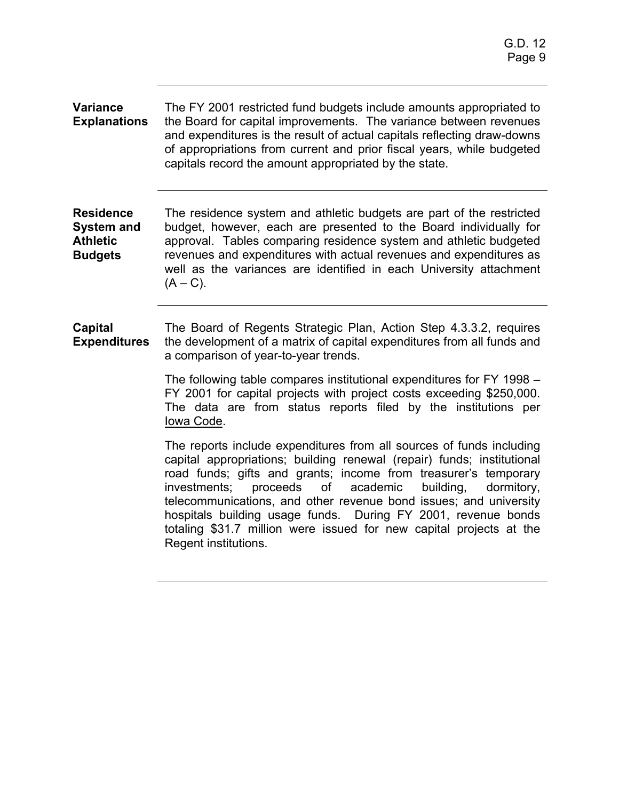| <b>Variance</b><br><b>Explanations</b>                                     | The FY 2001 restricted fund budgets include amounts appropriated to<br>the Board for capital improvements. The variance between revenues<br>and expenditures is the result of actual capitals reflecting draw-downs<br>of appropriations from current and prior fiscal years, while budgeted<br>capitals record the amount appropriated by the state.                                                                                                                                                                        |
|----------------------------------------------------------------------------|------------------------------------------------------------------------------------------------------------------------------------------------------------------------------------------------------------------------------------------------------------------------------------------------------------------------------------------------------------------------------------------------------------------------------------------------------------------------------------------------------------------------------|
| <b>Residence</b><br><b>System and</b><br><b>Athletic</b><br><b>Budgets</b> | The residence system and athletic budgets are part of the restricted<br>budget, however, each are presented to the Board individually for<br>approval. Tables comparing residence system and athletic budgeted<br>revenues and expenditures with actual revenues and expenditures as<br>well as the variances are identified in each University attachment<br>$(A - C)$ .                                                                                                                                                    |
| <b>Capital</b><br><b>Expenditures</b>                                      | The Board of Regents Strategic Plan, Action Step 4.3.3.2, requires<br>the development of a matrix of capital expenditures from all funds and<br>a comparison of year-to-year trends.                                                                                                                                                                                                                                                                                                                                         |
|                                                                            | The following table compares institutional expenditures for FY 1998 –<br>FY 2001 for capital projects with project costs exceeding \$250,000.<br>The data are from status reports filed by the institutions per<br>Iowa Code.                                                                                                                                                                                                                                                                                                |
|                                                                            | The reports include expenditures from all sources of funds including<br>capital appropriations; building renewal (repair) funds; institutional<br>road funds; gifts and grants; income from treasurer's temporary<br>proceeds of<br>academic<br>investments;<br>building,<br>dormitory,<br>telecommunications, and other revenue bond issues; and university<br>hospitals building usage funds. During FY 2001, revenue bonds<br>totaling \$31.7 million were issued for new capital projects at the<br>Regent institutions. |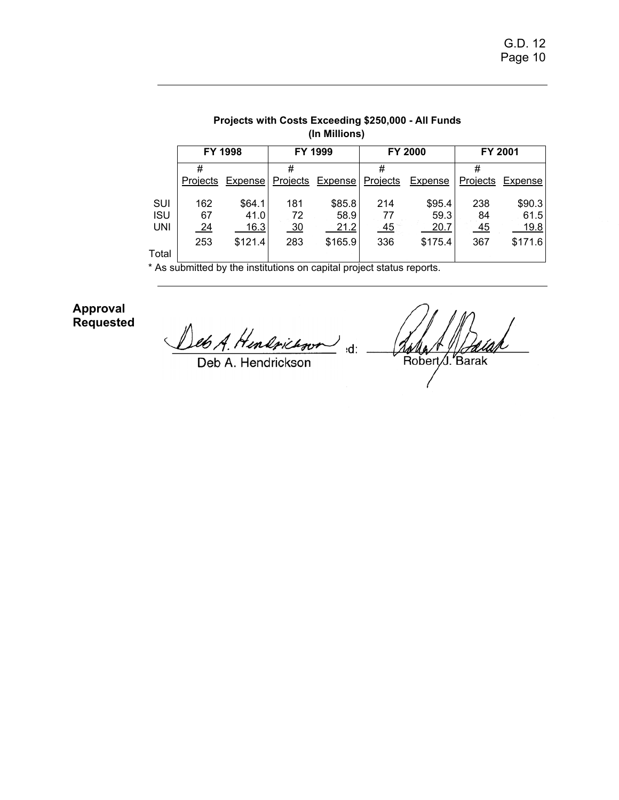| (In Millions) |                |         |                |         |          |                |                  |         |
|---------------|----------------|---------|----------------|---------|----------|----------------|------------------|---------|
|               |                | FY 1998 |                | FY 1999 |          | <b>FY 2000</b> |                  | FY 2001 |
|               | #              |         | #              |         | #        |                | #                |         |
|               | Projects       | Expense | Projects       | Expense | Projects | Expense        | Projects         | Expense |
|               |                |         |                |         |          |                |                  |         |
| SUI           | 162            | \$64.1  | 181            | \$85.8  | 214      | \$95.4         | 238              | \$90.3  |
| <b>ISU</b>    | 67             | 41.0    | 72             | 58.9    | 77       | 59.3           | 84               | 61.5    |
| UNI           | $\frac{24}{ }$ | 16.3    | $\frac{30}{2}$ | 21.2    | $-45$    | 20.7           | $\underline{45}$ | 19.8    |
|               | 253            | \$121.4 | 283            | \$165.9 | 336      | \$175.4        | 367              | \$171.6 |
| Total         |                |         |                |         |          |                |                  |         |

**Projects with Costs Exceeding \$250,000 - All Funds** 

\* As submitted by the institutions on capital project status reports.

**Approval Requested** 

eb A. Hendrichson  $\left( \right)$  $\overline{\mathbf{d}}$ :

Deb A. Hendrickson

Anla + 11 Anla<br>Robert S. Barak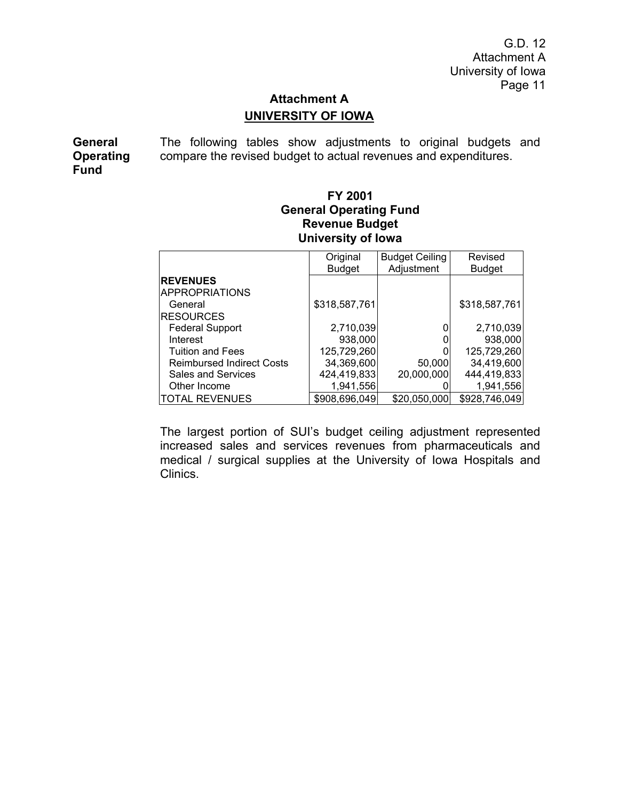# **Attachment A UNIVERSITY OF IOWA**

**General Operating Fund**  The following tables show adjustments to original budgets and compare the revised budget to actual revenues and expenditures.

## **FY 2001 General Operating Fund Revenue Budget University of Iowa**

|                                  | Original      | <b>Budget Ceiling</b> | Revised       |
|----------------------------------|---------------|-----------------------|---------------|
|                                  | <b>Budget</b> | Adjustment            | <b>Budget</b> |
| <b>REVENUES</b>                  |               |                       |               |
| <b>APPROPRIATIONS</b>            |               |                       |               |
| General                          | \$318,587,761 |                       | \$318,587,761 |
| <b>RESOURCES</b>                 |               |                       |               |
| <b>Federal Support</b>           | 2,710,039     |                       | 2,710,039     |
| Interest                         | 938,000       |                       | 938,000       |
| <b>Tuition and Fees</b>          | 125,729,260   |                       | 125,729,260   |
| <b>Reimbursed Indirect Costs</b> | 34,369,600    | 50,000                | 34,419,600    |
| <b>Sales and Services</b>        | 424,419,833   | 20,000,000            | 444,419,833   |
| Other Income                     | 1,941,556     |                       | 1,941,556     |
| <b>TOTAL REVENUES</b>            | \$908,696,049 | \$20,050,000          | \$928,746,049 |

The largest portion of SUI's budget ceiling adjustment represented increased sales and services revenues from pharmaceuticals and medical / surgical supplies at the University of Iowa Hospitals and Clinics.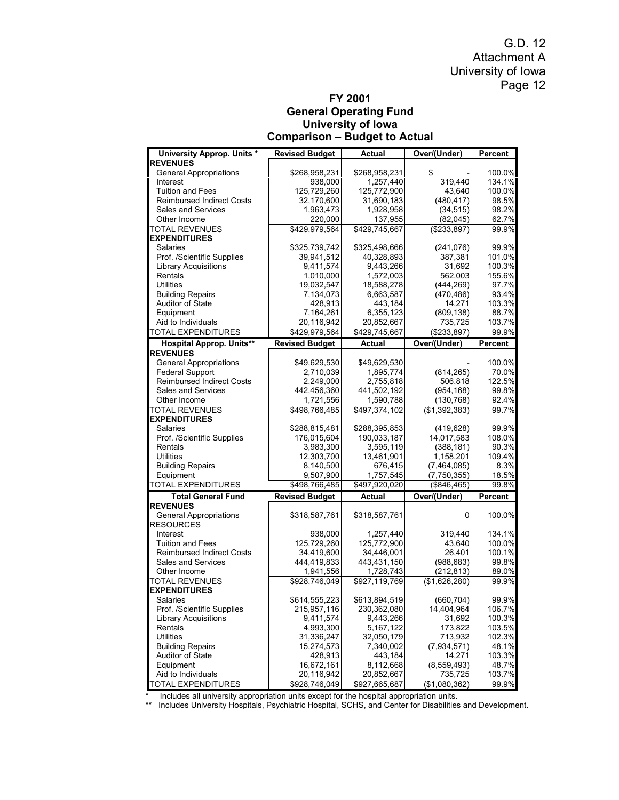#### **FY 2001 General Operating Fund University of Iowa Comparison – Budget to Actual**

| University Approp. Units *                              | <b>Revised Budget</b>  | Actual                 | Over/(Under)           | Percent         |
|---------------------------------------------------------|------------------------|------------------------|------------------------|-----------------|
| <b>REVENUES</b>                                         |                        |                        |                        |                 |
| <b>General Appropriations</b>                           | \$268,958,231          | \$268,958,231          | \$                     | 100.0%          |
| Interest                                                | 938,000                | 1,257,440              | 319,440                | 134.1%          |
| <b>Tuition and Fees</b>                                 | 125,729,260            | 125,772,900            | 43,640                 | 100.0%          |
| <b>Reimbursed Indirect Costs</b>                        | 32,170,600             | 31,690,183             | (480, 417)             | 98.5%           |
| Sales and Services                                      | 1,963,473              | 1,928,958              | (34, 515)              | 98.2%           |
| Other Income                                            | 220,000                | 137,955                | (82, 045)              | 62.7%           |
| <b>TOTAL REVENUES</b>                                   | \$429,979,564          | \$429,745,667          | $($ \$233,897)         | 99.9%           |
| <b>EXPENDITURES</b>                                     |                        |                        |                        |                 |
| Salaries                                                | \$325,739,742          | \$325,498,666          | (241,076)              | 99.9%           |
| Prof. /Scientific Supplies                              | 39,941,512             | 40,328,893             | 387,381                | 101.0%          |
| <b>Library Acquisitions</b>                             | 9,411,574              | 9,443,266              | 31,692                 | 100.3%          |
| Rentals                                                 | 1,010,000              | 1,572,003              | 562,003                | 155.6%          |
| <b>Utilities</b>                                        | 19,032,547             | 18,588,278             | (444, 269)             | 97.7%           |
| <b>Building Repairs</b>                                 | 7,134,073              | 6,663,587              | (470, 486)             | 93.4%           |
| Auditor of State                                        | 428,913                | 443,184                | 14,271                 | 103.3%          |
| Equipment<br>Aid to Individuals                         | 7,164,261              | 6,355,123              | (809, 138)             | 88.7%           |
| <b>TOTAL EXPENDITURES</b>                               | 20,116,942             | 20,852,667             | 735,725<br>(\$233,897) | 103.7%<br>99.9% |
|                                                         | \$429,979,564          | \$429,745,667          |                        |                 |
| <b>Hospital Approp. Units**</b>                         | <b>Revised Budget</b>  | <b>Actual</b>          | Over/(Under)           | <b>Percent</b>  |
| <b>REVENUES</b>                                         |                        | \$49,629,530           |                        | 100.0%          |
| <b>General Appropriations</b><br><b>Federal Support</b> | \$49,629,530           |                        |                        |                 |
| <b>Reimbursed Indirect Costs</b>                        | 2,710,039<br>2,249,000 | 1,895,774<br>2,755,818 | (814, 265)<br>506,818  | 70.0%<br>122.5% |
| Sales and Services                                      | 442,456,360            | 441,502,192            | (954, 168)             | 99.8%           |
| Other Income                                            | 1,721,556              | 1,590,788              | (130, 768)             | 92.4%           |
| TOTAL REVENUES                                          | \$498,766,485          | \$497,374,102          | (\$1,392,383)          | 99.7%           |
| <b>EXPENDITURES</b>                                     |                        |                        |                        |                 |
| Salaries                                                | \$288,815,481          | \$288,395,853          | (419, 628)             | 99.9%           |
| Prof. /Scientific Supplies                              | 176,015,604            | 190,033,187            | 14,017,583             | 108.0%          |
| Rentals                                                 | 3,983,300              | 3,595,119              | (388, 181)             | 90.3%           |
| <b>Utilities</b>                                        | 12,303,700             | 13,461,901             | 1,158,201              | 109.4%          |
| <b>Building Repairs</b>                                 | 8,140,500              | 676,415                | (7, 464, 085)          | 8.3%            |
| Equipment                                               | 9,507,900              | 1,757,545              | (7,750,355)            | 18.5%           |
| TOTAL EXPENDITURES                                      | \$498,766,485          | \$497,920,020          | (\$846,465)            | 99.8%           |
| <b>Total General Fund</b>                               | <b>Revised Budget</b>  | Actual                 | Over/(Under)           | Percent         |
| <b>REVENUES</b>                                         |                        |                        |                        |                 |
| <b>General Appropriations</b><br><b>RESOURCES</b>       | \$318,587,761          | \$318,587,761          | 0                      | 100.0%          |
| Interest                                                | 938,000                | 1,257,440              | 319,440                | 134.1%          |
| <b>Tuition and Fees</b>                                 | 125.729.260            | 125,772,900            | 43,640                 | 100.0%          |
| <b>Reimbursed Indirect Costs</b>                        | 34,419,600             | 34,446,001             | 26,401                 | 100.1%          |
| Sales and Services                                      | 444,419,833            | 443,431,150            | (988, 683)             | 99.8%           |
| Other Income                                            | 1,941,556              | 1,728,743              | (212, 813)             | 89.0%           |
| <b>TOTAL REVENUES</b>                                   | \$928,746,049          | \$927,119,769          | (\$1,626,280)          | 99.9%           |
| <b>EXPENDITURES</b>                                     |                        |                        |                        |                 |
| Salaries                                                | \$614,555,223          | \$613,894,519          | (660, 704)             | 99.9%           |
| Prof. /Scientific Supplies                              | 215,957,116            | 230,362,080            | 14,404,964             | 106.7%          |
| <b>Library Acquisitions</b>                             | 9,411,574              | 9,443,266              | 31,692                 | 100.3%          |
| Rentals                                                 | 4,993,300              | 5,167,122              | 173,822                | 103.5%          |
| <b>Utilities</b>                                        | 31,336,247             | 32,050,179             | 713,932                | 102.3%          |
| <b>Building Repairs</b>                                 | 15,274,573             | 7,340,002              | (7,934,571)            | 48.1%           |
| Auditor of State                                        | 428,913                | 443,184                | 14,271                 | 103.3%          |
| Equipment                                               | 16,672,161             | 8,112,668              | (8,559,493)            | 48.7%           |
| Aid to Individuals                                      | 20,116,942             | 20,852,667             | 735,725                | 103.7%          |
| <b>TOTAL EXPENDITURES</b>                               | \$928.746.049          | \$927,665,687          | (\$1,080,362)          | 99.9%           |

\* Includes all university appropriation units except for the hospital appropriation units.

\*\* Includes University Hospitals, Psychiatric Hospital, SCHS, and Center for Disabilities and Development.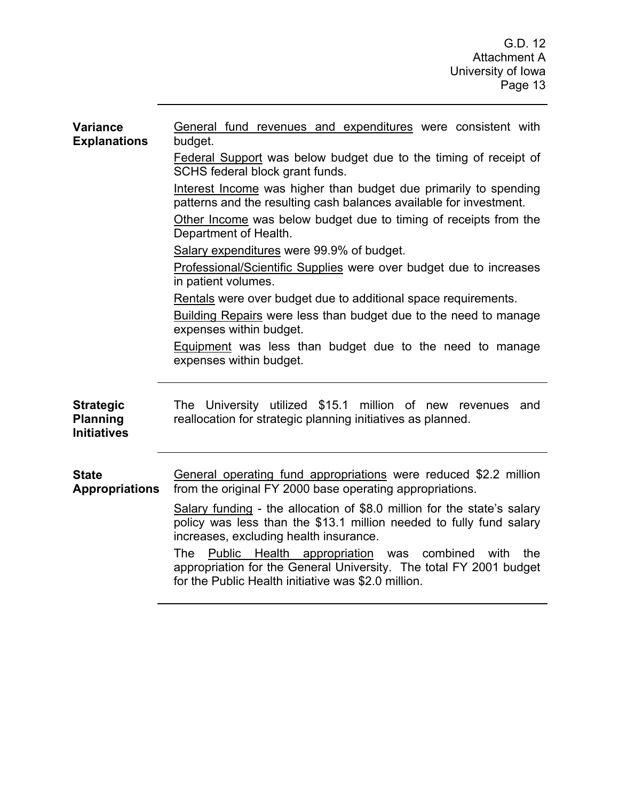| <b>Variance</b><br><b>Explanations</b>                    | General fund revenues and expenditures were consistent with<br>budget.                                                                                                                            |  |  |  |  |  |
|-----------------------------------------------------------|---------------------------------------------------------------------------------------------------------------------------------------------------------------------------------------------------|--|--|--|--|--|
|                                                           | Federal Support was below budget due to the timing of receipt of<br>SCHS federal block grant funds.                                                                                               |  |  |  |  |  |
|                                                           | Interest Income was higher than budget due primarily to spending<br>patterns and the resulting cash balances available for investment.                                                            |  |  |  |  |  |
|                                                           | Other Income was below budget due to timing of receipts from the<br>Department of Health.                                                                                                         |  |  |  |  |  |
|                                                           | Salary expenditures were 99.9% of budget.                                                                                                                                                         |  |  |  |  |  |
|                                                           | Professional/Scientific Supplies were over budget due to increases<br>in patient volumes.                                                                                                         |  |  |  |  |  |
|                                                           | Rentals were over budget due to additional space requirements.                                                                                                                                    |  |  |  |  |  |
|                                                           | Building Repairs were less than budget due to the need to manage<br>expenses within budget.                                                                                                       |  |  |  |  |  |
|                                                           | <b>Equipment</b> was less than budget due to the need to manage<br>expenses within budget.                                                                                                        |  |  |  |  |  |
| <b>Strategic</b><br><b>Planning</b><br><b>Initiatives</b> | The University utilized \$15.1 million of new revenues<br>and<br>reallocation for strategic planning initiatives as planned.                                                                      |  |  |  |  |  |
| <b>State</b><br><b>Appropriations</b>                     | General operating fund appropriations were reduced \$2.2 million<br>from the original FY 2000 base operating appropriations.                                                                      |  |  |  |  |  |
|                                                           | Salary funding - the allocation of \$8.0 million for the state's salary<br>policy was less than the \$13.1 million needed to fully fund salary<br>increases, excluding health insurance.          |  |  |  |  |  |
|                                                           | Public Health appropriation<br>The<br>combined<br>the<br>was<br>with<br>appropriation for the General University. The total FY 2001 budget<br>for the Public Health initiative was \$2.0 million. |  |  |  |  |  |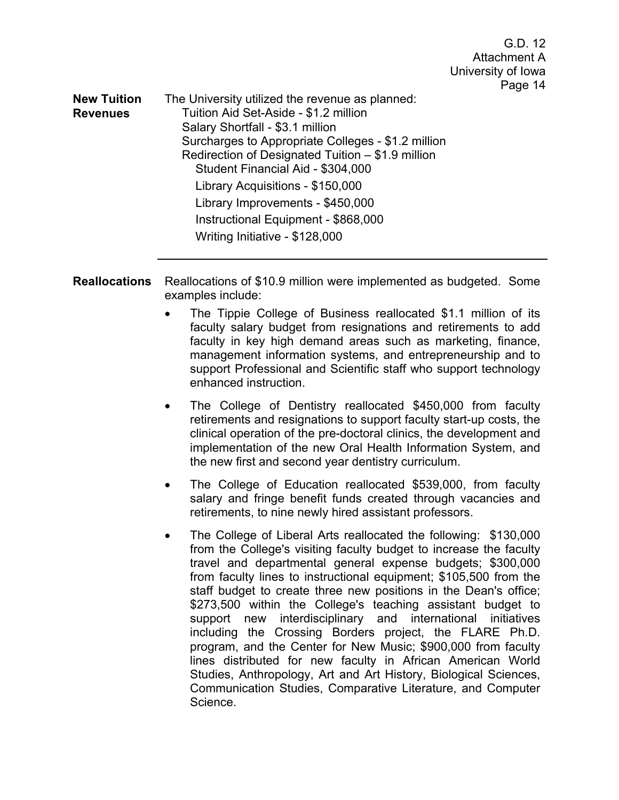**New Tuition Revenues**  The University utilized the revenue as planned: Tuition Aid Set-Aside - \$1.2 million Salary Shortfall - \$3.1 million Surcharges to Appropriate Colleges - \$1.2 million Redirection of Designated Tuition – \$1.9 million Student Financial Aid - \$304,000 Library Acquisitions - \$150,000 Library Improvements - \$450,000 Instructional Equipment - \$868,000 Writing Initiative - \$128,000

**Reallocations** Reallocations of \$10.9 million were implemented as budgeted. Some examples include:

- The Tippie College of Business reallocated \$1.1 million of its faculty salary budget from resignations and retirements to add faculty in key high demand areas such as marketing, finance, management information systems, and entrepreneurship and to support Professional and Scientific staff who support technology enhanced instruction.
- The College of Dentistry reallocated \$450,000 from faculty retirements and resignations to support faculty start-up costs, the clinical operation of the pre-doctoral clinics, the development and implementation of the new Oral Health Information System, and the new first and second year dentistry curriculum.
- The College of Education reallocated \$539,000, from faculty salary and fringe benefit funds created through vacancies and retirements, to nine newly hired assistant professors.
- The College of Liberal Arts reallocated the following: \$130,000 from the College's visiting faculty budget to increase the faculty travel and departmental general expense budgets; \$300,000 from faculty lines to instructional equipment; \$105,500 from the staff budget to create three new positions in the Dean's office; \$273,500 within the College's teaching assistant budget to support new interdisciplinary and international initiatives including the Crossing Borders project, the FLARE Ph.D. program, and the Center for New Music; \$900,000 from faculty lines distributed for new faculty in African American World Studies, Anthropology, Art and Art History, Biological Sciences, Communication Studies, Comparative Literature, and Computer Science.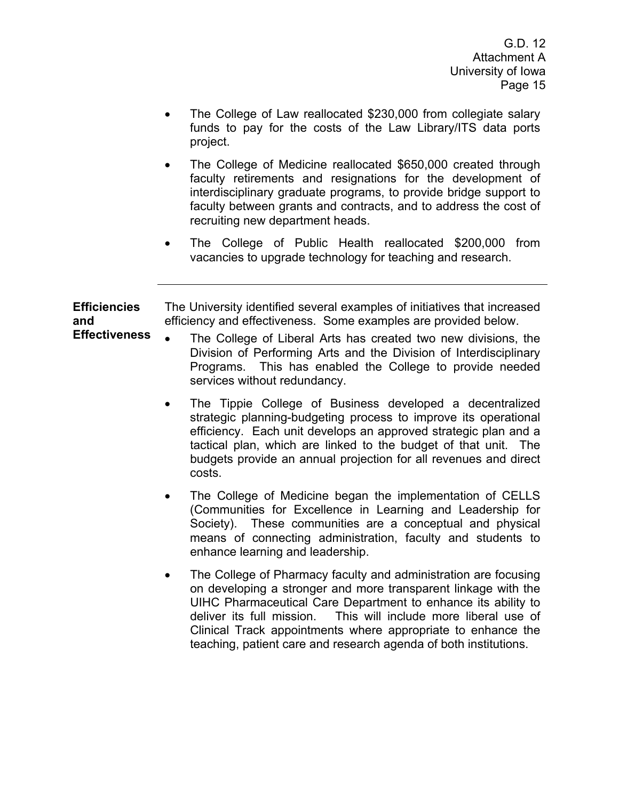- The College of Law reallocated \$230,000 from collegiate salary funds to pay for the costs of the Law Library/ITS data ports project.
- The College of Medicine reallocated \$650,000 created through faculty retirements and resignations for the development of interdisciplinary graduate programs, to provide bridge support to faculty between grants and contracts, and to address the cost of recruiting new department heads.
- The College of Public Health reallocated \$200,000 from vacancies to upgrade technology for teaching and research.

**Efficiencies and Effectiveness** The University identified several examples of initiatives that increased efficiency and effectiveness. Some examples are provided below.

- The College of Liberal Arts has created two new divisions, the Division of Performing Arts and the Division of Interdisciplinary Programs. This has enabled the College to provide needed services without redundancy.
	- The Tippie College of Business developed a decentralized strategic planning-budgeting process to improve its operational efficiency. Each unit develops an approved strategic plan and a tactical plan, which are linked to the budget of that unit. The budgets provide an annual projection for all revenues and direct costs.
	- The College of Medicine began the implementation of CELLS (Communities for Excellence in Learning and Leadership for Society). These communities are a conceptual and physical means of connecting administration, faculty and students to enhance learning and leadership.
	- The College of Pharmacy faculty and administration are focusing on developing a stronger and more transparent linkage with the UIHC Pharmaceutical Care Department to enhance its ability to deliver its full mission. This will include more liberal use of Clinical Track appointments where appropriate to enhance the teaching, patient care and research agenda of both institutions.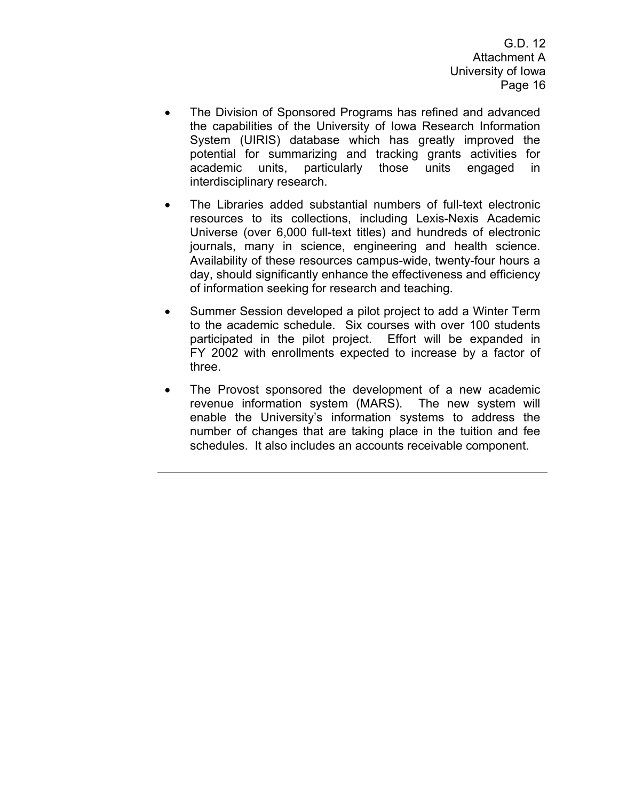- The Division of Sponsored Programs has refined and advanced the capabilities of the University of Iowa Research Information System (UIRIS) database which has greatly improved the potential for summarizing and tracking grants activities for academic units, particularly those units engaged in interdisciplinary research.
- The Libraries added substantial numbers of full-text electronic resources to its collections, including Lexis-Nexis Academic Universe (over 6,000 full-text titles) and hundreds of electronic journals, many in science, engineering and health science. Availability of these resources campus-wide, twenty-four hours a day, should significantly enhance the effectiveness and efficiency of information seeking for research and teaching.
- Summer Session developed a pilot project to add a Winter Term to the academic schedule. Six courses with over 100 students participated in the pilot project. Effort will be expanded in FY 2002 with enrollments expected to increase by a factor of three.
- The Provost sponsored the development of a new academic revenue information system (MARS). The new system will enable the University's information systems to address the number of changes that are taking place in the tuition and fee schedules. It also includes an accounts receivable component.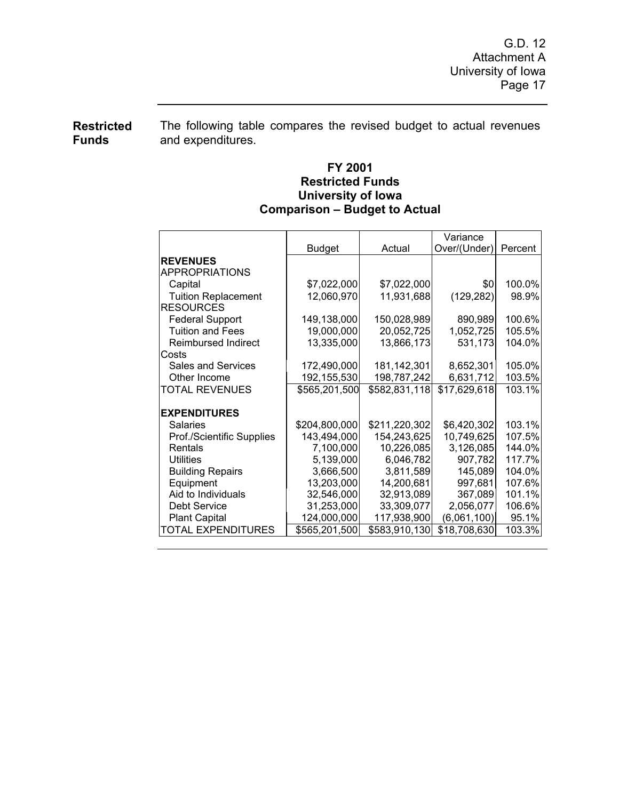**Restricted Funds**  The following table compares the revised budget to actual revenues and expenditures.

## **FY 2001 Restricted Funds University of Iowa Comparison – Budget to Actual**

|                                                | <b>Budget</b> | Actual        | Variance<br>Over/(Under) | Percent |
|------------------------------------------------|---------------|---------------|--------------------------|---------|
| <b>REVENUES</b>                                |               |               |                          |         |
| <b>APPROPRIATIONS</b>                          |               |               |                          |         |
| Capital                                        | \$7,022,000   | \$7,022,000   | \$0                      | 100.0%  |
|                                                |               |               |                          |         |
| <b>Tuition Replacement</b><br><b>RESOURCES</b> | 12,060,970    | 11,931,688    | (129, 282)               | 98.9%   |
|                                                |               |               |                          |         |
| <b>Federal Support</b>                         | 149,138,000   | 150,028,989   | 890,989                  | 100.6%  |
| <b>Tuition and Fees</b>                        | 19,000,000    | 20,052,725    | 1,052,725                | 105.5%  |
| Reimbursed Indirect                            | 13,335,000    | 13,866,173    | 531,173                  | 104.0%  |
| Costs                                          |               |               |                          |         |
| Sales and Services                             | 172,490,000   | 181, 142, 301 | 8,652,301                | 105.0%  |
| Other Income                                   | 192,155,530   | 198,787,242   | 6,631,712                | 103.5%  |
| <b>TOTAL REVENUES</b>                          | \$565,201,500 | \$582,831,118 | \$17,629,618             | 103.1%  |
| <b>EXPENDITURES</b>                            |               |               |                          |         |
| Salaries                                       | \$204,800,000 | \$211,220,302 | \$6,420,302              | 103.1%  |
| Prof./Scientific Supplies                      | 143,494,000   | 154,243,625   | 10,749,625               | 107.5%l |
| Rentals                                        | 7,100,000     | 10,226,085    | 3,126,085                | 144.0%l |
| Utilities                                      | 5,139,000     | 6,046,782     | 907,782                  | 117.7%  |
| <b>Building Repairs</b>                        | 3,666,500     | 3,811,589     | 145,089                  | 104.0%  |
| Equipment                                      | 13,203,000    | 14,200,681    | 997,681                  | 107.6%  |
| Aid to Individuals                             | 32,546,000    | 32,913,089    | 367,089                  | 101.1%  |
| <b>Debt Service</b>                            | 31,253,000    | 33,309,077    | 2,056,077                | 106.6%  |
| <b>Plant Capital</b>                           | 124,000,000   | 117,938,900   | (6,061,100)              | 95.1%   |
| TOTAL EXPENDITURES                             | \$565,201,500 | \$583,910,130 | \$18,708,630             | 103.3%  |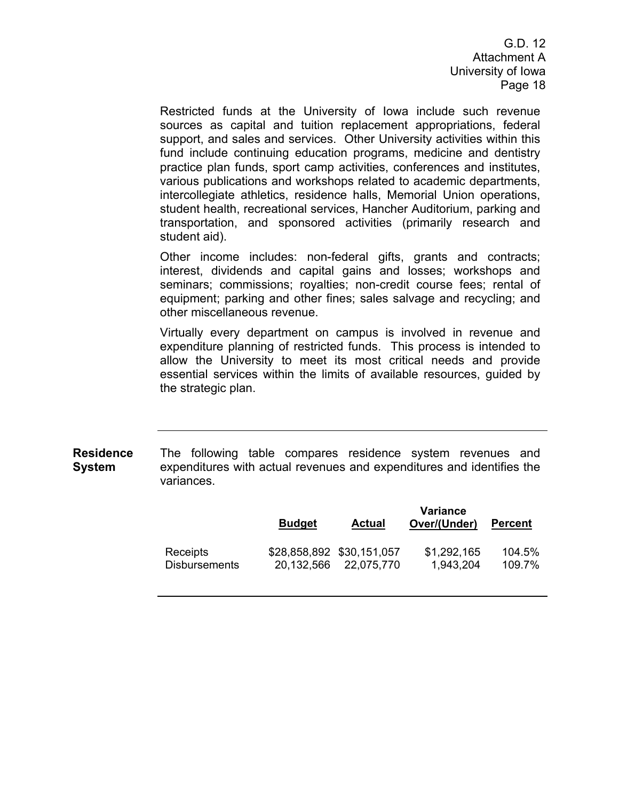Restricted funds at the University of Iowa include such revenue sources as capital and tuition replacement appropriations, federal support, and sales and services. Other University activities within this fund include continuing education programs, medicine and dentistry practice plan funds, sport camp activities, conferences and institutes, various publications and workshops related to academic departments, intercollegiate athletics, residence halls, Memorial Union operations, student health, recreational services, Hancher Auditorium, parking and transportation, and sponsored activities (primarily research and student aid).

Other income includes: non-federal gifts, grants and contracts; interest, dividends and capital gains and losses; workshops and seminars; commissions; royalties; non-credit course fees; rental of equipment; parking and other fines; sales salvage and recycling; and other miscellaneous revenue.

Virtually every department on campus is involved in revenue and expenditure planning of restricted funds. This process is intended to allow the University to meet its most critical needs and provide essential services within the limits of available resources, guided by the strategic plan.

**Residence System**  The following table compares residence system revenues and expenditures with actual revenues and expenditures and identifies the variances.

|                      | <b>Budget</b> | <b>Actual</b>             | Variance<br>Over/(Under) | <b>Percent</b> |
|----------------------|---------------|---------------------------|--------------------------|----------------|
| Receipts             | 20,132,566    | \$28,858,892 \$30,151,057 | \$1,292,165              | 104.5%         |
| <b>Disbursements</b> |               | 22.075.770                | 1,943,204                | 109.7%         |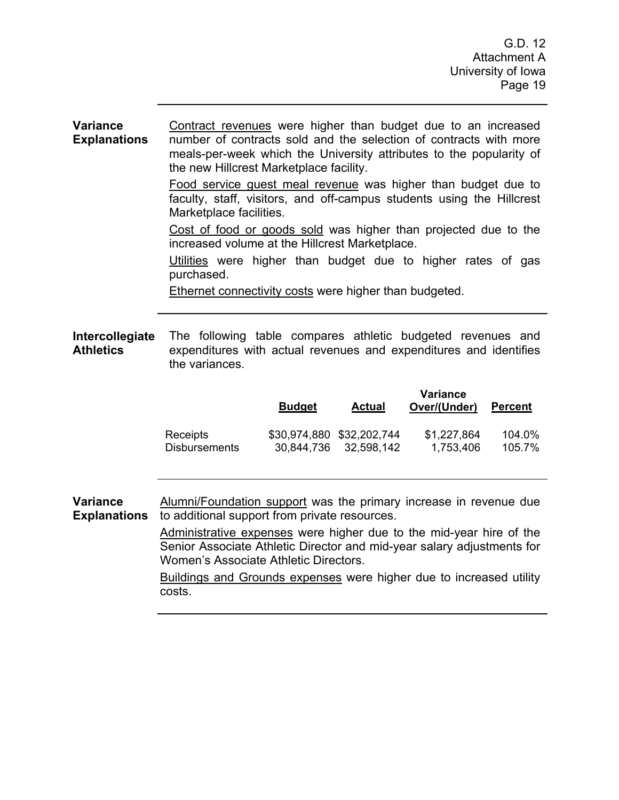#### **Variance Explanations**  Contract revenues were higher than budget due to an increased number of contracts sold and the selection of contracts with more meals-per-week which the University attributes to the popularity of the new Hillcrest Marketplace facility.

Food service guest meal revenue was higher than budget due to faculty, staff, visitors, and off-campus students using the Hillcrest Marketplace facilities.

Cost of food or goods sold was higher than projected due to the increased volume at the Hillcrest Marketplace.

Utilities were higher than budget due to higher rates of gas purchased.

Ethernet connectivity costs were higher than budgeted.

**Intercollegiate Athletics**  The following table compares athletic budgeted revenues and expenditures with actual revenues and expenditures and identifies the variances.

|                      | <b>Budget</b> | <b>Actual</b>             | <b>Variance</b><br>Over/(Under) | <b>Percent</b> |
|----------------------|---------------|---------------------------|---------------------------------|----------------|
| Receipts             |               | \$30,974,880 \$32,202,744 | \$1,227,864                     | 104.0%         |
| <b>Disbursements</b> |               | 30,844,736 32,598,142     | 1,753,406                       | 105.7%         |

**Variance Explanations**  Alumni/Foundation support was the primary increase in revenue due to additional support from private resources.

> Administrative expenses were higher due to the mid-year hire of the Senior Associate Athletic Director and mid-year salary adjustments for Women's Associate Athletic Directors.

> Buildings and Grounds expenses were higher due to increased utility costs.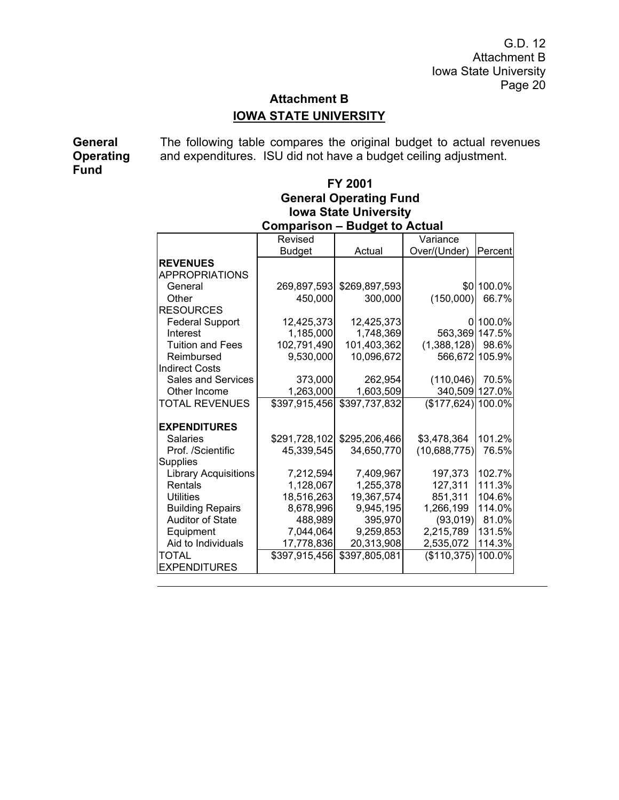# **Attachment B IOWA STATE UNIVERSITY**

**General Operating Fund** 

The following table compares the original budget to actual revenues and expenditures. ISU did not have a budget ceiling adjustment.

## **FY 2001 General Operating Fund Iowa State University Comparison – Budget to Actual**

|                             | Revised       |               | Variance            |            |
|-----------------------------|---------------|---------------|---------------------|------------|
|                             | <b>Budget</b> | Actual        | Over/(Under)        | Percent    |
| <b>REVENUES</b>             |               |               |                     |            |
| <b>APPROPRIATIONS</b>       |               |               |                     |            |
| General                     | 269,897,593   | \$269,897,593 |                     | \$0 100.0% |
| Other                       | 450,000       | 300,000       | (150,000)           | 66.7%      |
| <b>RESOURCES</b>            |               |               |                     |            |
| <b>Federal Support</b>      | 12,425,373    | 12,425,373    | 0                   | 100.0%     |
| Interest                    | 1,185,000     | 1,748,369     | 563,369 147.5%      |            |
| <b>Tuition and Fees</b>     | 102,791,490   | 101,403,362   | (1,388,128)         | 98.6%      |
| Reimbursed                  | 9,530,000     | 10,096,672    | 566,672 105.9%      |            |
| <b>Indirect Costs</b>       |               |               |                     |            |
| <b>Sales and Services</b>   | 373,000       | 262,954       | (110, 046)          | 70.5%      |
| Other Income                | 1,263,000     | 1,603,509     | 340,509 127.0%      |            |
| <b>TOTAL REVENUES</b>       | \$397,915,456 | \$397,737,832 | $($177,624)$ 100.0% |            |
|                             |               |               |                     |            |
| <b>EXPENDITURES</b>         |               |               |                     |            |
| Salaries                    | \$291,728,102 | \$295,206,466 | \$3,478,364         | 101.2%     |
| Prof. /Scientific           | 45,339,545    | 34,650,770    | (10,688,775)        | 76.5%      |
| <b>Supplies</b>             |               |               |                     |            |
| <b>Library Acquisitions</b> | 7,212,594     | 7,409,967     | 197,373             | 102.7%     |
| Rentals                     | 1,128,067     | 1,255,378     | 127,311             | 111.3%     |
| Utilities                   | 18,516,263    | 19,367,574    | 851,311             | 104.6%     |
| <b>Building Repairs</b>     | 8,678,996     | 9,945,195     | 1,266,199           | 114.0%     |
| <b>Auditor of State</b>     | 488,989       | 395,970       | (93,019)            | 81.0%      |
| Equipment                   | 7,044,064     | 9,259,853     | 2,215,789           | 131.5%     |
| Aid to Individuals          | 17,778,836    | 20,313,908    | 2,535,072           | 114.3%     |
| TOTAL                       | \$397,915,456 | \$397,805,081 | (\$110,375)         | 100.0%     |
| <b>EXPENDITURES</b>         |               |               |                     |            |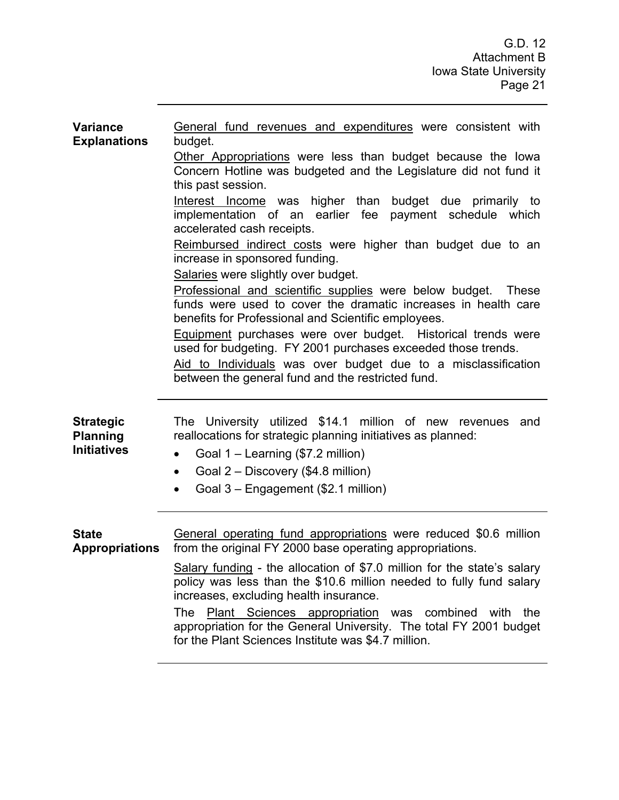| <b>Variance</b><br><b>Explanations</b>                    | General fund revenues and expenditures were consistent with<br>budget.<br>Other Appropriations were less than budget because the lowa<br>Concern Hotline was budgeted and the Legislature did not fund it<br>this past session.<br>Interest Income was higher than budget due primarily to<br>implementation of an earlier fee payment schedule which<br>accelerated cash receipts.<br>Reimbursed indirect costs were higher than budget due to an<br>increase in sponsored funding.<br>Salaries were slightly over budget.<br>Professional and scientific supplies were below budget. These<br>funds were used to cover the dramatic increases in health care<br>benefits for Professional and Scientific employees.<br>Equipment purchases were over budget. Historical trends were<br>used for budgeting. FY 2001 purchases exceeded those trends.<br>Aid to Individuals was over budget due to a misclassification<br>between the general fund and the restricted fund. |
|-----------------------------------------------------------|-----------------------------------------------------------------------------------------------------------------------------------------------------------------------------------------------------------------------------------------------------------------------------------------------------------------------------------------------------------------------------------------------------------------------------------------------------------------------------------------------------------------------------------------------------------------------------------------------------------------------------------------------------------------------------------------------------------------------------------------------------------------------------------------------------------------------------------------------------------------------------------------------------------------------------------------------------------------------------|
| <b>Strategic</b><br><b>Planning</b><br><b>Initiatives</b> | The University utilized \$14.1 million of new revenues<br>and<br>reallocations for strategic planning initiatives as planned:<br>Goal 1 – Learning (\$7.2 million)<br>$\bullet$<br>Goal 2 – Discovery (\$4.8 million)<br>$\bullet$<br>Goal 3 - Engagement (\$2.1 million)<br>$\bullet$                                                                                                                                                                                                                                                                                                                                                                                                                                                                                                                                                                                                                                                                                      |
| <b>State</b><br><b>Appropriations</b>                     | General operating fund appropriations were reduced \$0.6 million<br>from the original FY 2000 base operating appropriations.<br>Salary funding - the allocation of \$7.0 million for the state's salary<br>policy was less than the \$10.6 million needed to fully fund salary<br>increases, excluding health insurance.<br>Plant Sciences appropriation was combined with the<br><b>The</b><br>appropriation for the General University. The total FY 2001 budget<br>for the Plant Sciences Institute was \$4.7 million.                                                                                                                                                                                                                                                                                                                                                                                                                                                   |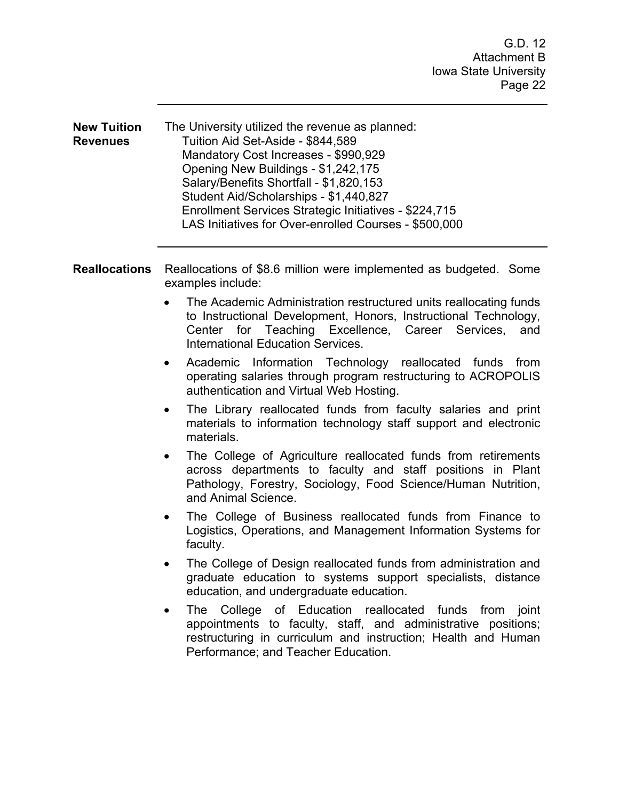| <b>New Tuition</b> | The University utilized the revenue as planned:       |
|--------------------|-------------------------------------------------------|
| <b>Revenues</b>    | Tuition Aid Set-Aside - \$844,589                     |
|                    | Mandatory Cost Increases - \$990,929                  |
|                    | Opening New Buildings - \$1,242,175                   |
|                    | Salary/Benefits Shortfall - \$1,820,153               |
|                    | Student Aid/Scholarships - \$1,440,827                |
|                    | Enrollment Services Strategic Initiatives - \$224,715 |
|                    | LAS Initiatives for Over-enrolled Courses - \$500,000 |

**Reallocations** Reallocations of \$8.6 million were implemented as budgeted. Some examples include:

- The Academic Administration restructured units reallocating funds to Instructional Development, Honors, Instructional Technology, Center for Teaching Excellence, Career Services, and International Education Services.
- Academic Information Technology reallocated funds from operating salaries through program restructuring to ACROPOLIS authentication and Virtual Web Hosting.
- The Library reallocated funds from faculty salaries and print materials to information technology staff support and electronic materials.
- The College of Agriculture reallocated funds from retirements across departments to faculty and staff positions in Plant Pathology, Forestry, Sociology, Food Science/Human Nutrition, and Animal Science.
- The College of Business reallocated funds from Finance to Logistics, Operations, and Management Information Systems for faculty.
- The College of Design reallocated funds from administration and graduate education to systems support specialists, distance education, and undergraduate education.
- The College of Education reallocated funds from joint appointments to faculty, staff, and administrative positions; restructuring in curriculum and instruction; Health and Human Performance; and Teacher Education.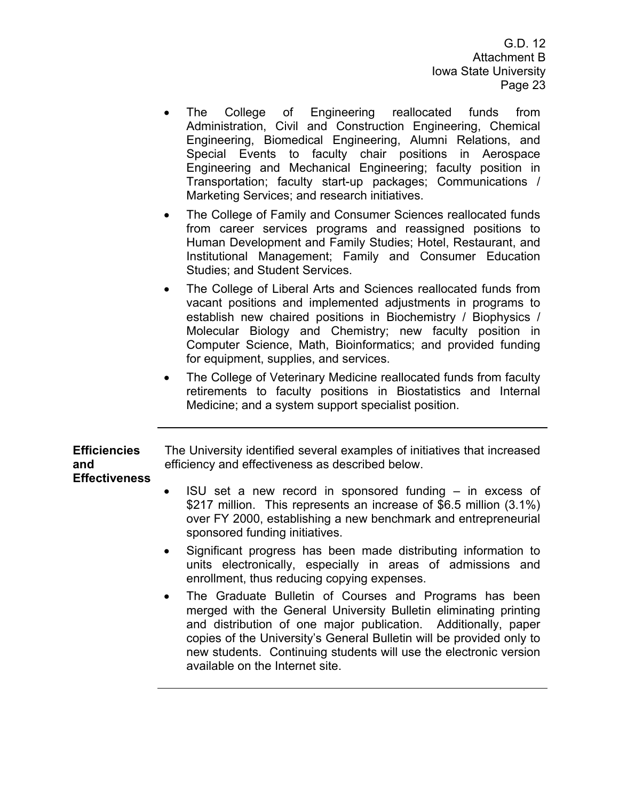- The College of Engineering reallocated funds from Administration, Civil and Construction Engineering, Chemical Engineering, Biomedical Engineering, Alumni Relations, and Special Events to faculty chair positions in Aerospace Engineering and Mechanical Engineering; faculty position in Transportation; faculty start-up packages; Communications / Marketing Services; and research initiatives.
- The College of Family and Consumer Sciences reallocated funds from career services programs and reassigned positions to Human Development and Family Studies; Hotel, Restaurant, and Institutional Management; Family and Consumer Education Studies; and Student Services.
- The College of Liberal Arts and Sciences reallocated funds from vacant positions and implemented adjustments in programs to establish new chaired positions in Biochemistry / Biophysics / Molecular Biology and Chemistry; new faculty position in Computer Science, Math, Bioinformatics; and provided funding for equipment, supplies, and services.
- The College of Veterinary Medicine reallocated funds from faculty retirements to faculty positions in Biostatistics and Internal Medicine; and a system support specialist position.

| <b>Efficiencies</b><br>and<br><b>Effectiveness</b> | The University identified several examples of initiatives that increased<br>efficiency and effectiveness as described below.                                                                                                           |
|----------------------------------------------------|----------------------------------------------------------------------------------------------------------------------------------------------------------------------------------------------------------------------------------------|
|                                                    | • ISU set a new record in sponsored funding $-$ in excess of<br>\$217 million. This represents an increase of \$6.5 million (3.1%)<br>over FY 2000, establishing a new benchmark and entrepreneurial<br>sponsored funding initiatives. |
|                                                    | Significant progress has been made distributing information to<br>$\bullet$<br>units electronically, especially in areas of admissions and<br>enrollment, thus reducing copying expenses.                                              |

• The Graduate Bulletin of Courses and Programs has been merged with the General University Bulletin eliminating printing and distribution of one major publication. Additionally, paper copies of the University's General Bulletin will be provided only to new students. Continuing students will use the electronic version available on the Internet site.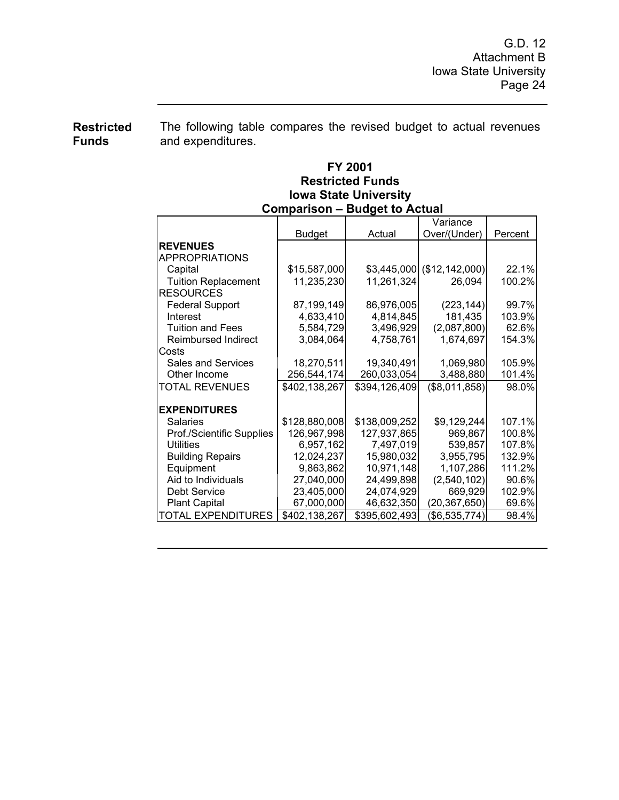**Restricted Funds**  The following table compares the revised budget to actual revenues and expenditures.

## **FY 2001 Restricted Funds Iowa State University Comparison – Budget to Actual**

| Oompanson – Buuget to Actual |               |               |                |         |
|------------------------------|---------------|---------------|----------------|---------|
|                              |               |               | Variance       |         |
|                              | <b>Budget</b> | Actual        | Over/(Under)   | Percent |
| <b>REVENUES</b>              |               |               |                |         |
| <b>APPROPRIATIONS</b>        |               |               |                |         |
| Capital                      | \$15,587,000  | \$3,445,000   | (\$12,142,000) | 22.1%   |
| <b>Tuition Replacement</b>   | 11,235,230    | 11,261,324    | 26,094         | 100.2%  |
| <b>RESOURCES</b>             |               |               |                |         |
| <b>Federal Support</b>       | 87,199,149    | 86,976,005    | (223, 144)     | 99.7%   |
| Interest                     | 4,633,410     | 4,814,845     | 181,435        | 103.9%  |
| <b>Tuition and Fees</b>      | 5,584,729     | 3,496,929     | (2,087,800)    | 62.6%   |
| <b>Reimbursed Indirect</b>   | 3,084,064     | 4,758,761     | 1,674,697      | 154.3%  |
| Costs                        |               |               |                |         |
| <b>Sales and Services</b>    | 18,270,511    | 19,340,491    | 1,069,980      | 105.9%  |
| Other Income                 | 256,544,174   | 260,033,054   | 3,488,880      | 101.4%  |
| <b>TOTAL REVENUES</b>        | \$402,138,267 | \$394,126,409 | (\$8,011,858)  | 98.0%   |
|                              |               |               |                |         |
| <b>EXPENDITURES</b>          |               |               |                |         |
| <b>Salaries</b>              | \$128,880,008 | \$138,009,252 | \$9,129,244    | 107.1%  |
| Prof./Scientific Supplies    | 126,967,998   | 127,937,865   | 969,867        | 100.8%  |
| <b>Utilities</b>             | 6,957,162     | 7,497,019     | 539,857        | 107.8%  |
| <b>Building Repairs</b>      | 12,024,237    | 15,980,032    | 3,955,795      | 132.9%  |
| Equipment                    | 9,863,862     | 10,971,148    | 1,107,286      | 111.2%  |
| Aid to Individuals           | 27,040,000    | 24,499,898    | (2, 540, 102)  | 90.6%   |
| <b>Debt Service</b>          | 23,405,000    | 24,074,929    | 669,929        | 102.9%  |
| <b>Plant Capital</b>         | 67,000,000    | 46,632,350    | (20, 367, 650) | 69.6%   |
| <b>TOTAL EXPENDITURES</b>    | \$402,138,267 | \$395,602,493 | (\$6,535,774)  | 98.4%   |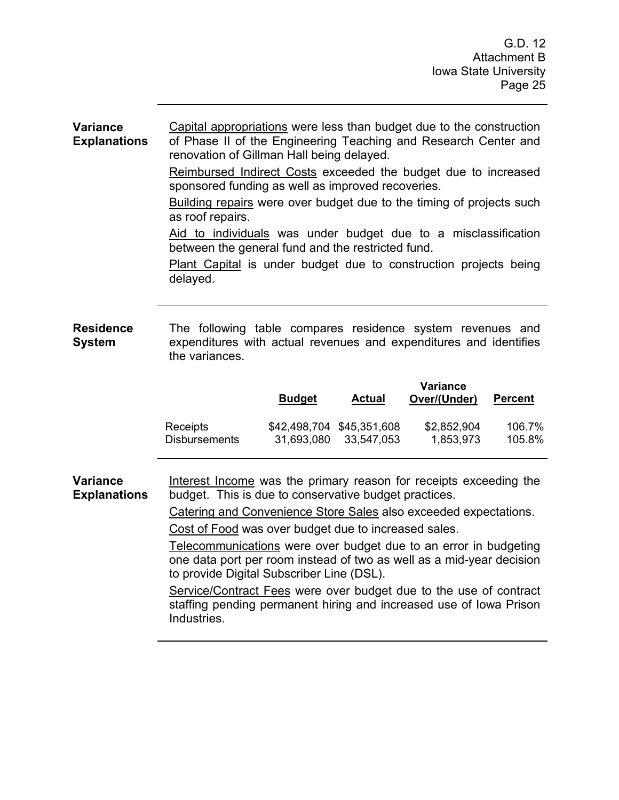#### **Variance Explanations**  Capital appropriations were less than budget due to the construction of Phase II of the Engineering Teaching and Research Center and renovation of Gillman Hall being delayed.

Reimbursed Indirect Costs exceeded the budget due to increased sponsored funding as well as improved recoveries.

Building repairs were over budget due to the timing of projects such as roof repairs.

Aid to individuals was under budget due to a misclassification between the general fund and the restricted fund.

Plant Capital is under budget due to construction projects being delayed.

#### **Residence System**  The following table compares residence system revenues and expenditures with actual revenues and expenditures and identifies the variances.

|                      | <b>Budget</b> | Actual                    | Variance<br>Over/(Under) | <b>Percent</b> |
|----------------------|---------------|---------------------------|--------------------------|----------------|
| Receipts             | 31,693,080    | \$42,498,704 \$45,351,608 | \$2,852,904              | 106.7%         |
| <b>Disbursements</b> |               | 33.547.053                | 1,853,973                | 105.8%         |

**Variance Explanations**  Interest Income was the primary reason for receipts exceeding the budget. This is due to conservative budget practices.

Catering and Convenience Store Sales also exceeded expectations.

Cost of Food was over budget due to increased sales.

Telecommunications were over budget due to an error in budgeting one data port per room instead of two as well as a mid-year decision to provide Digital Subscriber Line (DSL).

Service/Contract Fees were over budget due to the use of contract staffing pending permanent hiring and increased use of Iowa Prison Industries.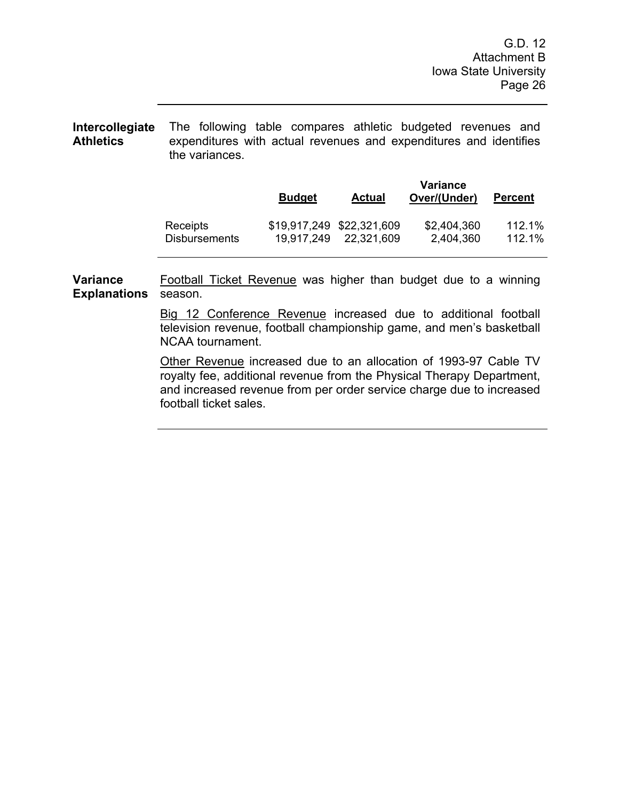**Intercollegiate Athletics**  The following table compares athletic budgeted revenues and expenditures with actual revenues and expenditures and identifies the variances.

|                      | <b>Budget</b> | <b>Actual</b>             | Variance<br>Over/(Under) | <b>Percent</b> |
|----------------------|---------------|---------------------------|--------------------------|----------------|
| Receipts             | 19.917.249    | \$19,917,249 \$22,321,609 | \$2,404,360              | 112.1%         |
| <b>Disbursements</b> |               | 22,321,609                | 2,404,360                | 112.1%         |

**Variance Explanations**  Football Ticket Revenue was higher than budget due to a winning season.

> Big 12 Conference Revenue increased due to additional football television revenue, football championship game, and men's basketball NCAA tournament.

> Other Revenue increased due to an allocation of 1993-97 Cable TV royalty fee, additional revenue from the Physical Therapy Department, and increased revenue from per order service charge due to increased football ticket sales.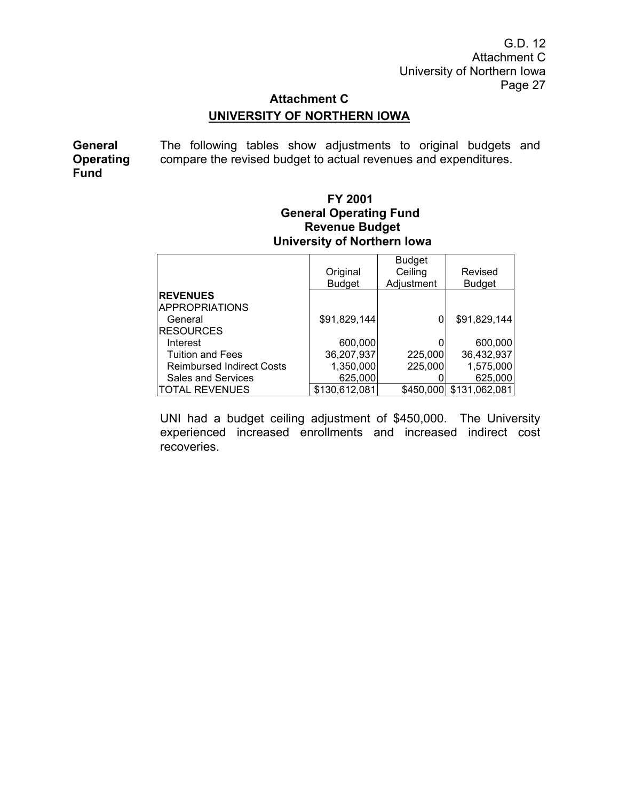G.D. 12 Attachment C University of Northern Iowa Page 27

# **Attachment C UNIVERSITY OF NORTHERN IOWA**

**General Operating Fund**  The following tables show adjustments to original budgets and compare the revised budget to actual revenues and expenditures.

## **FY 2001 General Operating Fund Revenue Budget University of Northern Iowa**

|                                  | Original<br><b>Budget</b> | <b>Budget</b><br>Ceiling<br>Adjustment | Revised<br><b>Budget</b> |
|----------------------------------|---------------------------|----------------------------------------|--------------------------|
| <b>REVENUES</b>                  |                           |                                        |                          |
| <b>APPROPRIATIONS</b>            |                           |                                        |                          |
| General                          | \$91,829,144              |                                        | \$91,829,144             |
| <b>RESOURCES</b>                 |                           |                                        |                          |
| Interest                         | 600,000                   |                                        | 600,000                  |
| <b>Tuition and Fees</b>          | 36,207,937                | 225,000                                | 36,432,937               |
| <b>Reimbursed Indirect Costs</b> | 1,350,000                 | 225,000                                | 1,575,000                |
| <b>Sales and Services</b>        | 625,000                   |                                        | 625,000                  |
| <b>TOTAL REVENUES</b>            | \$130,612,081             | \$450,000                              | \$131,062,081            |

UNI had a budget ceiling adjustment of \$450,000. The University experienced increased enrollments and increased indirect cost recoveries.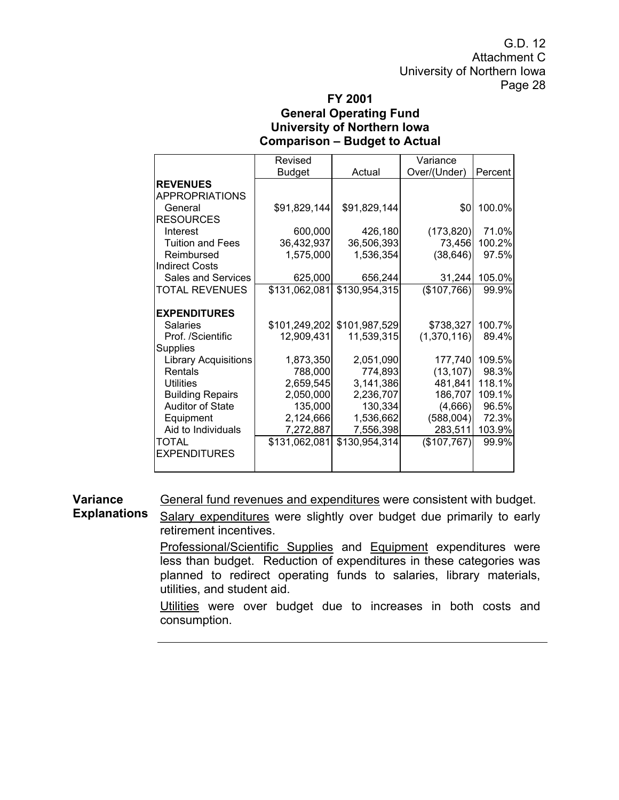G.D. 12 Attachment C University of Northern Iowa Page 28

## **FY 2001 General Operating Fund University of Northern Iowa Comparison – Budget to Actual**

|                         | Revised       |               | Variance     |         |
|-------------------------|---------------|---------------|--------------|---------|
|                         | <b>Budget</b> | Actual        | Over/(Under) | Percent |
| <b>REVENUES</b>         |               |               |              |         |
| <b>APPROPRIATIONS</b>   |               |               |              |         |
| General                 | \$91,829,144  | \$91,829,144  | \$0          | 100.0%  |
| <b>RESOURCES</b>        |               |               |              |         |
| Interest                | 600,000       | 426,180       | (173, 820)   | 71.0%   |
| <b>Tuition and Fees</b> | 36,432,937    | 36,506,393    | 73,456       | 100.2%  |
| Reimbursed              | 1,575,000     | 1,536,354     | (38, 646)    | 97.5%   |
| <b>Indirect Costs</b>   |               |               |              |         |
| Sales and Services      | 625,000       | 656,244       | 31,244       | 105.0%  |
| <b>TOTAL REVENUES</b>   | \$131,062,081 | \$130,954,315 | (\$107,766)  | 99.9%   |
|                         |               |               |              |         |
| <b>EXPENDITURES</b>     |               |               |              |         |
| Salaries                | \$101,249,202 | \$101,987,529 | \$738,327    | 100.7%  |
| Prof. /Scientific       | 12,909,431    | 11,539,315    | (1,370,116)  | 89.4%   |
| <b>Supplies</b>         |               |               |              |         |
| Library Acquisitions    | 1,873,350     | 2,051,090     | 177,740      | 109.5%  |
| Rentals                 | 788,000       | 774,893       | (13, 107)    | 98.3%   |
| Utilities               | 2,659,545     | 3,141,386     | 481,841      | 118.1%  |
| <b>Building Repairs</b> | 2,050,000     | 2,236,707     | 186,707      | 109.1%  |
| Auditor of State        | 135,000       | 130,334       | (4,666)      | 96.5%   |
| Equipment               | 2,124,666     | 1,536,662     | (588,004)    | 72.3%   |
| Aid to Individuals      | 7,272,887     | 7,556,398     | 283,511      | 103.9%  |
| TOTAL                   | \$131,062,081 | \$130,954,314 | (\$107,767)  | 99.9%   |
| <b>EXPENDITURES</b>     |               |               |              |         |
|                         |               |               |              |         |

**Variance**  General fund revenues and expenditures were consistent with budget.

**Explanations**  Salary expenditures were slightly over budget due primarily to early retirement incentives.

> Professional/Scientific Supplies and Equipment expenditures were less than budget. Reduction of expenditures in these categories was planned to redirect operating funds to salaries, library materials, utilities, and student aid.

> Utilities were over budget due to increases in both costs and consumption.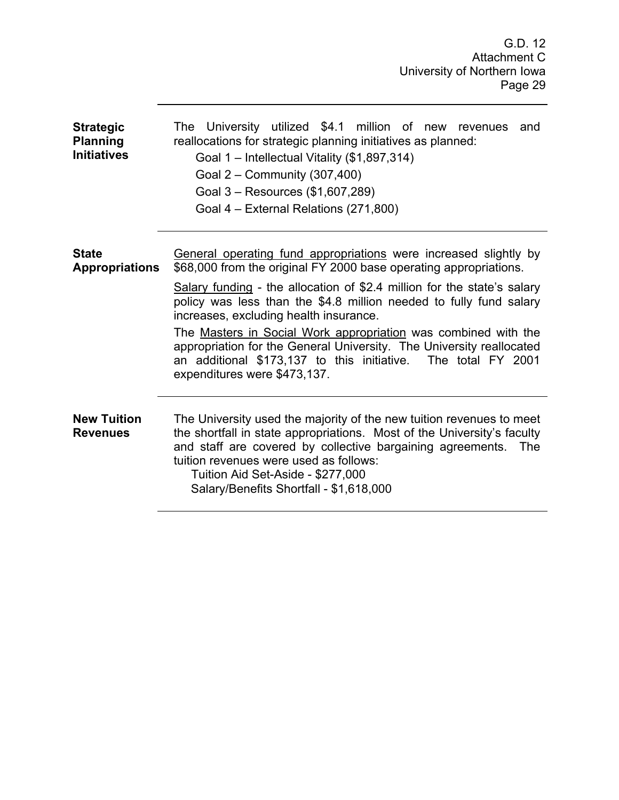| <b>Strategic</b><br><b>Planning</b><br><b>Initiatives</b> | The University utilized \$4.1 million of new revenues and<br>reallocations for strategic planning initiatives as planned:<br>Goal 1 - Intellectual Vitality (\$1,897,314)<br>Goal 2 - Community (307,400)<br>Goal 3 - Resources (\$1,607,289)<br>Goal 4 – External Relations (271,800)                                                                                                                                             |  |  |  |
|-----------------------------------------------------------|------------------------------------------------------------------------------------------------------------------------------------------------------------------------------------------------------------------------------------------------------------------------------------------------------------------------------------------------------------------------------------------------------------------------------------|--|--|--|
| <b>State</b><br><b>Appropriations</b>                     | General operating fund appropriations were increased slightly by<br>\$68,000 from the original FY 2000 base operating appropriations.                                                                                                                                                                                                                                                                                              |  |  |  |
|                                                           | Salary funding - the allocation of \$2.4 million for the state's salary<br>policy was less than the \$4.8 million needed to fully fund salary<br>increases, excluding health insurance.<br>The Masters in Social Work appropriation was combined with the<br>appropriation for the General University. The University reallocated<br>an additional \$173,137 to this initiative. The total FY 2001<br>expenditures were \$473,137. |  |  |  |
| <b>New Tuition</b><br><b>Revenues</b>                     | The University used the majority of the new tuition revenues to meet<br>the shortfall in state appropriations. Most of the University's faculty<br>and staff are covered by collective bargaining agreements.<br>The<br>tuition revenues were used as follows:<br>Tuition Aid Set-Aside - \$277,000<br>Salary/Benefits Shortfall - \$1,618,000                                                                                     |  |  |  |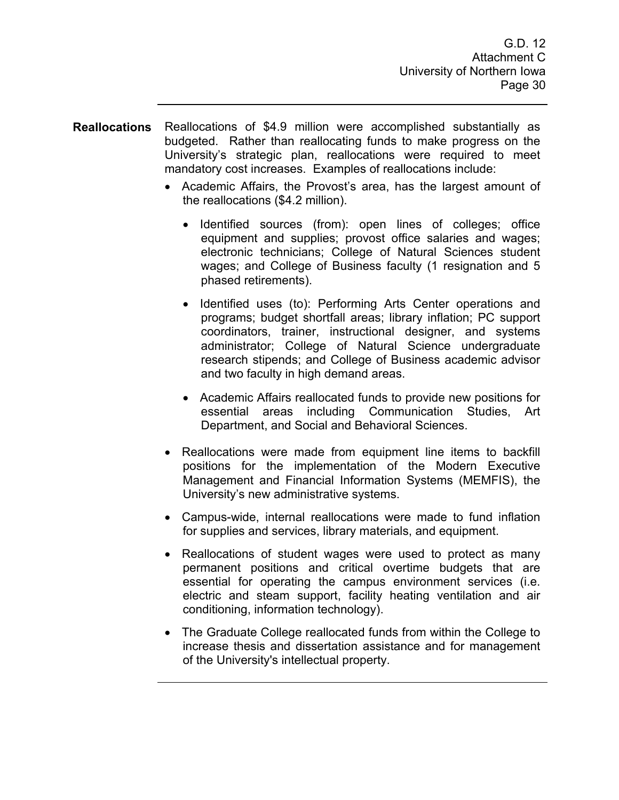- **Reallocations** Reallocations of \$4.9 million were accomplished substantially as budgeted. Rather than reallocating funds to make progress on the University's strategic plan, reallocations were required to meet mandatory cost increases. Examples of reallocations include:
	- Academic Affairs, the Provost's area, has the largest amount of the reallocations (\$4.2 million).
		- Identified sources (from): open lines of colleges; office equipment and supplies; provost office salaries and wages; electronic technicians; College of Natural Sciences student wages; and College of Business faculty (1 resignation and 5 phased retirements).
		- Identified uses (to): Performing Arts Center operations and programs; budget shortfall areas; library inflation; PC support coordinators, trainer, instructional designer, and systems administrator; College of Natural Science undergraduate research stipends; and College of Business academic advisor and two faculty in high demand areas.
		- Academic Affairs reallocated funds to provide new positions for essential areas including Communication Studies, Art Department, and Social and Behavioral Sciences.
	- Reallocations were made from equipment line items to backfill positions for the implementation of the Modern Executive Management and Financial Information Systems (MEMFIS), the University's new administrative systems.
	- Campus-wide, internal reallocations were made to fund inflation for supplies and services, library materials, and equipment.
	- Reallocations of student wages were used to protect as many permanent positions and critical overtime budgets that are essential for operating the campus environment services (i.e. electric and steam support, facility heating ventilation and air conditioning, information technology).
	- The Graduate College reallocated funds from within the College to increase thesis and dissertation assistance and for management of the University's intellectual property.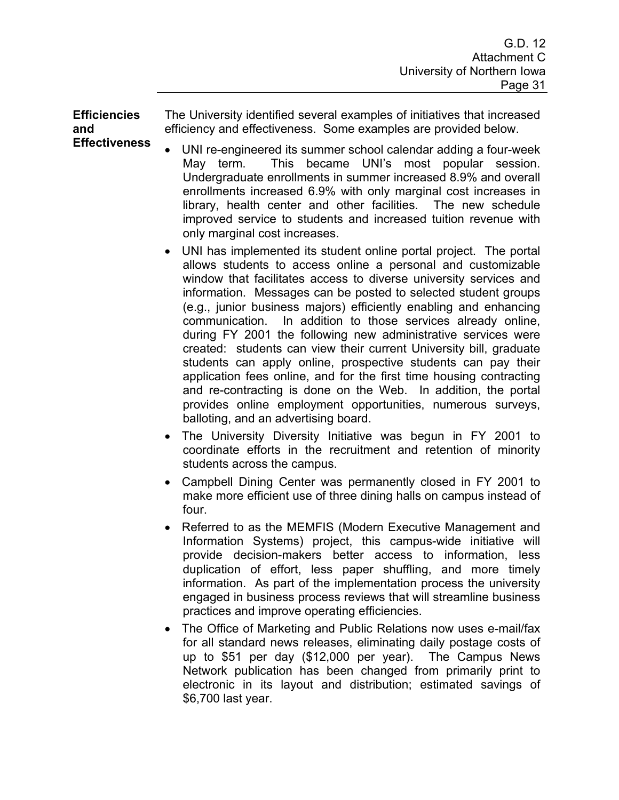**Efficiencies and Effectiveness** 

The University identified several examples of initiatives that increased efficiency and effectiveness. Some examples are provided below.

- UNI re-engineered its summer school calendar adding a four-week May term. This became UNI's most popular session. Undergraduate enrollments in summer increased 8.9% and overall enrollments increased 6.9% with only marginal cost increases in library, health center and other facilities. The new schedule improved service to students and increased tuition revenue with only marginal cost increases.
- UNI has implemented its student online portal project. The portal allows students to access online a personal and customizable window that facilitates access to diverse university services and information. Messages can be posted to selected student groups (e.g., junior business majors) efficiently enabling and enhancing communication. In addition to those services already online, during FY 2001 the following new administrative services were created: students can view their current University bill, graduate students can apply online, prospective students can pay their application fees online, and for the first time housing contracting and re-contracting is done on the Web. In addition, the portal provides online employment opportunities, numerous surveys, balloting, and an advertising board.
- The University Diversity Initiative was begun in FY 2001 to coordinate efforts in the recruitment and retention of minority students across the campus.
- Campbell Dining Center was permanently closed in FY 2001 to make more efficient use of three dining halls on campus instead of four.
- Referred to as the MEMFIS (Modern Executive Management and Information Systems) project, this campus-wide initiative will provide decision-makers better access to information, less duplication of effort, less paper shuffling, and more timely information. As part of the implementation process the university engaged in business process reviews that will streamline business practices and improve operating efficiencies.
- The Office of Marketing and Public Relations now uses e-mail/fax for all standard news releases, eliminating daily postage costs of up to \$51 per day (\$12,000 per year). The Campus News Network publication has been changed from primarily print to electronic in its layout and distribution; estimated savings of \$6,700 last year.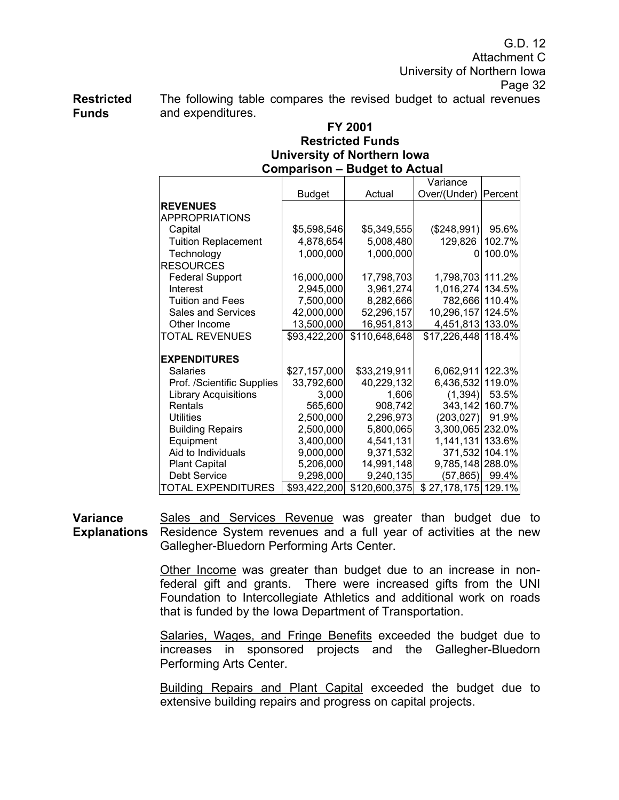G.D. 12 Attachment C University of Northern Iowa Page 32

**Restricted Funds**  The following table compares the revised budget to actual revenues and expenditures.

## **FY 2001 Restricted Funds University of Northern Iowa Comparison – Budget to Actual**

|                             |               |               | Variance            |                |
|-----------------------------|---------------|---------------|---------------------|----------------|
|                             | <b>Budget</b> | Actual        | Over/(Under)        | Percent        |
| <b>REVENUES</b>             |               |               |                     |                |
| APPROPRIATIONS              |               |               |                     |                |
| Capital                     | \$5,598,546   | \$5,349,555   | (\$248,991)         | 95.6%          |
| <b>Tuition Replacement</b>  | 4,878,654     | 5,008,480     | 129,826             | 102.7%         |
| Technology                  | 1,000,000     | 1,000,000     | 0                   | 100.0%         |
| <b>RESOURCES</b>            |               |               |                     |                |
| <b>Federal Support</b>      | 16,000,000    | 17,798,703    | 1,798,703 111.2%    |                |
| Interest                    | 2,945,000     | 3,961,274     | 1,016,274 134.5%    |                |
| <b>Tuition and Fees</b>     | 7,500,000     | 8,282,666     |                     | 782,666 110.4% |
| Sales and Services          | 42,000,000    | 52,296,157    | 10,296,157 124.5%   |                |
| Other Income                | 13,500,000    | 16,951,813    | 4,451,813 133.0%    |                |
| <b>TOTAL REVENUES</b>       | \$93,422,200  | \$110,648,648 | \$17,226,448 118.4% |                |
|                             |               |               |                     |                |
| <b>EXPENDITURES</b>         |               |               |                     |                |
| Salaries                    | \$27,157,000  | \$33,219,911  | 6,062,911           | 122.3%         |
| Prof. /Scientific Supplies  | 33,792,600    | 40,229,132    | 6,436,532           | 119.0%         |
| <b>Library Acquisitions</b> | 3,000         | 1,606         | (1, 394)            | 53.5%          |
| Rentals                     | 565,600       | 908,742       | 343,142             | 160.7%         |
| <b>Utilities</b>            | 2,500,000     | 2,296,973     | (203, 027)          | 91.9%          |
| <b>Building Repairs</b>     | 2,500,000     | 5,800,065     | 3,300,065           | 232.0%         |
| Equipment                   | 3,400,000     | 4,541,131     | 1,141,131           | 133.6%         |
| Aid to Individuals          | 9,000,000     | 9,371,532     | 371,532             | 104.1%         |
| <b>Plant Capital</b>        | 5,206,000     | 14,991,148    | 9,785,148 288.0%    |                |
| <b>Debt Service</b>         | 9,298,000     | 9,240,135     | (57, 865)           | 99.4%          |
| <b>TOTAL EXPENDITURES</b>   | \$93,422,200  | \$120,600,375 | \$27,178,175 129.1% |                |

**Variance Explanations**  Sales and Services Revenue was greater than budget due to Residence System revenues and a full year of activities at the new Gallegher-Bluedorn Performing Arts Center.

> Other Income was greater than budget due to an increase in nonfederal gift and grants. There were increased gifts from the UNI Foundation to Intercollegiate Athletics and additional work on roads that is funded by the Iowa Department of Transportation.

> Salaries, Wages, and Fringe Benefits exceeded the budget due to increases in sponsored projects and the Gallegher-Bluedorn Performing Arts Center.

> Building Repairs and Plant Capital exceeded the budget due to extensive building repairs and progress on capital projects.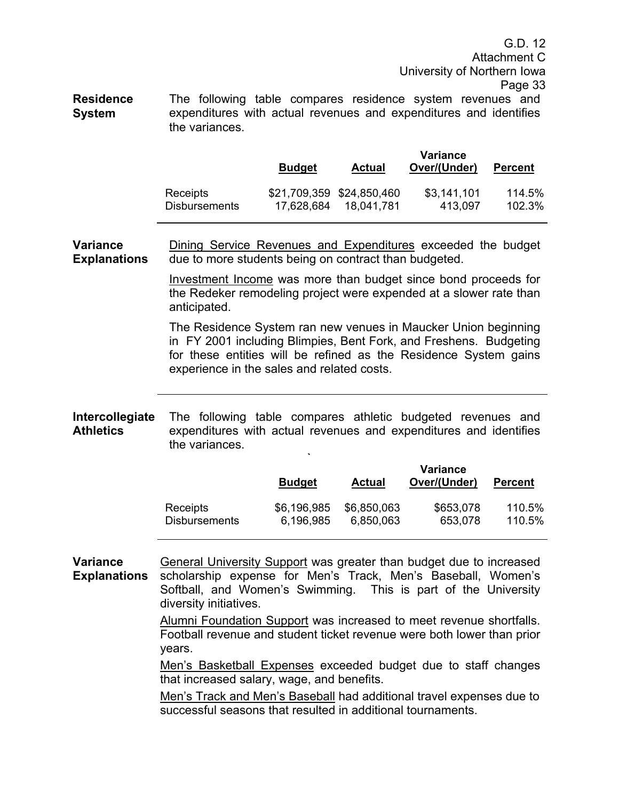G.D. 12 Attachment C University of Northern Iowa Page 33

**Residence System**  The following table compares residence system revenues and expenditures with actual revenues and expenditures and identifies the variances.

|                      | <b>Budget</b> | <b>Actual</b>             | Variance<br>Over/(Under) | <b>Percent</b> |
|----------------------|---------------|---------------------------|--------------------------|----------------|
| Receipts             | 17,628,684    | \$21,709,359 \$24,850,460 | \$3,141,101              | 114.5%         |
| <b>Disbursements</b> |               | 18.041.781                | 413,097                  | 102.3%         |

**Variance Explanations**  Dining Service Revenues and Expenditures exceeded the budget due to more students being on contract than budgeted.

> Investment Income was more than budget since bond proceeds for the Redeker remodeling project were expended at a slower rate than anticipated.

> The Residence System ran new venues in Maucker Union beginning in FY 2001 including Blimpies, Bent Fork, and Freshens. Budgeting for these entities will be refined as the Residence System gains experience in the sales and related costs.

**Intercollegiate Athletics**  The following table compares athletic budgeted revenues and expenditures with actual revenues and expenditures and identifies the variances.

**`** 

|                      | <b>Budget</b> | Actual      | Variance<br>Over/(Under) | <b>Percent</b> |
|----------------------|---------------|-------------|--------------------------|----------------|
| Receipts             | \$6,196,985   | \$6,850,063 | \$653,078                | 110.5%         |
| <b>Disbursements</b> | 6,196,985     | 6,850,063   | 653,078                  | 110.5%         |

**Variance Explanations**  General University Support was greater than budget due to increased scholarship expense for Men's Track, Men's Baseball, Women's Softball, and Women's Swimming. This is part of the University diversity initiatives.

> Alumni Foundation Support was increased to meet revenue shortfalls. Football revenue and student ticket revenue were both lower than prior years.

> Men's Basketball Expenses exceeded budget due to staff changes that increased salary, wage, and benefits.

> Men's Track and Men's Baseball had additional travel expenses due to successful seasons that resulted in additional tournaments.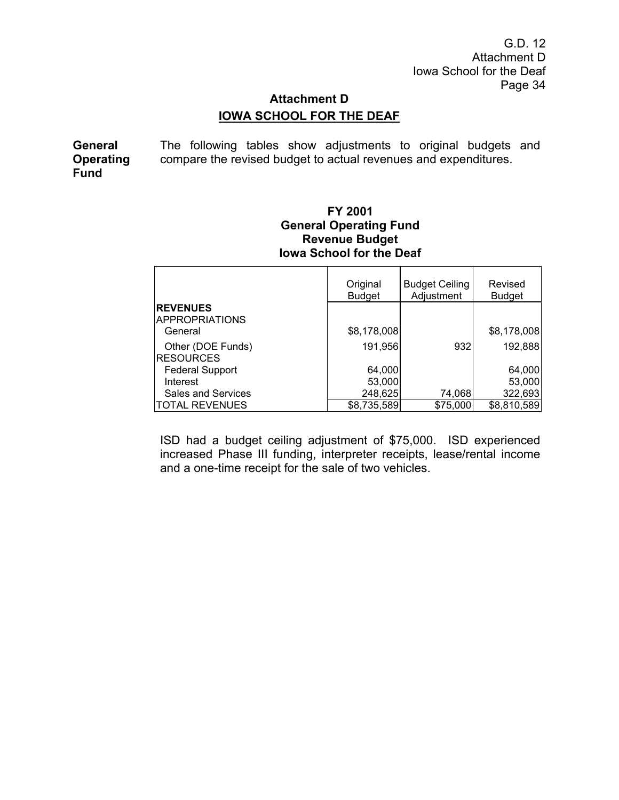G.D. 12 Attachment D Iowa School for the Deaf Page 34

# **Attachment D IOWA SCHOOL FOR THE DEAF**

**General Operating Fund**  The following tables show adjustments to original budgets and compare the revised budget to actual revenues and expenditures.

 $\mathsf{r}$ 

## **FY 2001 General Operating Fund Revenue Budget Iowa School for the Deaf**

|                                  | Original<br><b>Budget</b> | <b>Budget Ceiling</b><br>Adjustment | Revised<br><b>Budget</b> |
|----------------------------------|---------------------------|-------------------------------------|--------------------------|
| <b>REVENUES</b>                  |                           |                                     |                          |
| <b>APPROPRIATIONS</b><br>General | \$8,178,008               |                                     | \$8,178,008              |
| Other (DOE Funds)                | 191,956                   | 932                                 | 192,888                  |
| <b>RESOURCES</b>                 |                           |                                     |                          |
| <b>Federal Support</b>           | 64,000                    |                                     | 64,000                   |
| Interest                         | 53,000                    |                                     | 53,000                   |
| Sales and Services               | 248,625                   | 74,068                              | 322,693                  |
| TOTAL REVENUES                   | \$8,735,589               | \$75,000                            | \$8,810,589              |

ISD had a budget ceiling adjustment of \$75,000. ISD experienced increased Phase III funding, interpreter receipts, lease/rental income and a one-time receipt for the sale of two vehicles.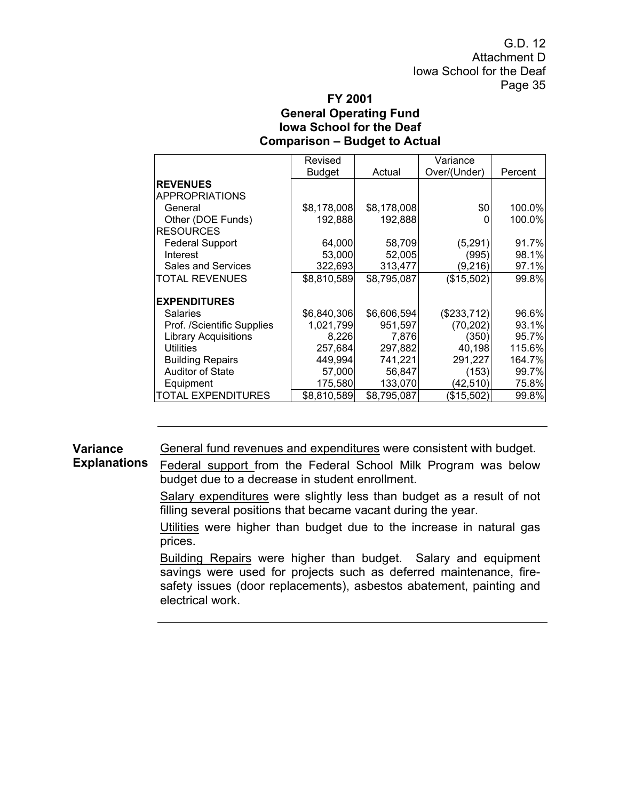G.D. 12 Attachment D Iowa School for the Deaf Page 35

### **FY 2001 General Operating Fund Iowa School for the Deaf Comparison – Budget to Actual**

|                             | Revised       |             | Variance     |         |
|-----------------------------|---------------|-------------|--------------|---------|
|                             | <b>Budget</b> | Actual      | Over/(Under) | Percent |
| <b>REVENUES</b>             |               |             |              |         |
| <b>APPROPRIATIONS</b>       |               |             |              |         |
| General                     | \$8,178,008   | \$8,178,008 | \$0          | 100.0%  |
| Other (DOE Funds)           | 192,888       | 192,888     |              | 100.0%  |
| <b>RESOURCES</b>            |               |             |              |         |
| <b>Federal Support</b>      | 64,000        | 58,709      | (5,291)      | 91.7%   |
| Interest                    | 53,000        | 52,005      | (995)        | 98.1%   |
| <b>Sales and Services</b>   | 322,693       | 313,477     | (9,216)      | 97.1%   |
| TOTAL REVENUES              | \$8,810,589   | \$8,795,087 | (\$15,502)   | 99.8%   |
|                             |               |             |              |         |
| <b>EXPENDITURES</b>         |               |             |              |         |
| Salaries                    | \$6,840,306   | \$6,606,594 | (\$233,712)  | 96.6%   |
| Prof. /Scientific Supplies  | 1,021,799     | 951,597     | (70, 202)    | 93.1%   |
| <b>Library Acquisitions</b> | 8,226         | 7,876       | (350)        | 95.7%   |
| <b>Utilities</b>            | 257,684       | 297,882     | 40,198       | 115.6%  |
| <b>Building Repairs</b>     | 449,994       | 741,221     | 291,227      | 164.7%  |
| <b>Auditor of State</b>     | 57,000        | 56,847      | (153)        | 99.7%   |
| Equipment                   | 175,580       | 133,070     | (42,510)     | 75.8%   |
| TOTAL EXPENDITURES          | \$8,810,589   | \$8,795,087 | (\$15,502)   | 99.8%   |

**Variance**  General fund revenues and expenditures were consistent with budget.

**Explanations**  Federal support from the Federal School Milk Program was below budget due to a decrease in student enrollment.

> Salary expenditures were slightly less than budget as a result of not filling several positions that became vacant during the year.

> Utilities were higher than budget due to the increase in natural gas prices.

> Building Repairs were higher than budget. Salary and equipment savings were used for projects such as deferred maintenance, firesafety issues (door replacements), asbestos abatement, painting and electrical work.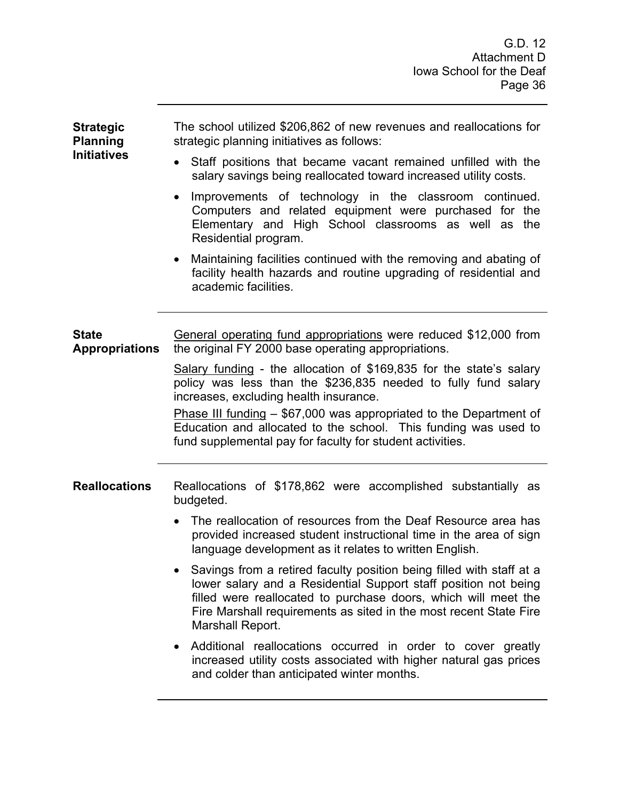| <b>Strategic</b><br><b>Planning</b>   | The school utilized \$206,862 of new revenues and reallocations for<br>strategic planning initiatives as follows:                                                                                                                                                                                  |  |  |  |  |
|---------------------------------------|----------------------------------------------------------------------------------------------------------------------------------------------------------------------------------------------------------------------------------------------------------------------------------------------------|--|--|--|--|
| <b>Initiatives</b>                    | Staff positions that became vacant remained unfilled with the<br>$\bullet$<br>salary savings being reallocated toward increased utility costs.                                                                                                                                                     |  |  |  |  |
|                                       | Improvements of technology in the classroom continued.<br>$\bullet$<br>Computers and related equipment were purchased for the<br>Elementary and High School classrooms as well as the<br>Residential program.                                                                                      |  |  |  |  |
|                                       | Maintaining facilities continued with the removing and abating of<br>$\bullet$<br>facility health hazards and routine upgrading of residential and<br>academic facilities.                                                                                                                         |  |  |  |  |
| <b>State</b><br><b>Appropriations</b> | <u>General operating fund appropriations</u> were reduced \$12,000 from<br>the original FY 2000 base operating appropriations.                                                                                                                                                                     |  |  |  |  |
|                                       | Salary funding - the allocation of \$169,835 for the state's salary<br>policy was less than the \$236,835 needed to fully fund salary<br>increases, excluding health insurance.<br><b>Phase III funding <math>-</math> \$67,000 was appropriated to the Department of</b>                          |  |  |  |  |
|                                       | Education and allocated to the school. This funding was used to<br>fund supplemental pay for faculty for student activities.                                                                                                                                                                       |  |  |  |  |
| <b>Reallocations</b>                  | Reallocations of \$178,862 were accomplished substantially as<br>budgeted.                                                                                                                                                                                                                         |  |  |  |  |
|                                       | The reallocation of resources from the Deaf Resource area has<br>provided increased student instructional time in the area of sign<br>language development as it relates to written English.                                                                                                       |  |  |  |  |
|                                       | Savings from a retired faculty position being filled with staff at a<br>lower salary and a Residential Support staff position not being<br>filled were reallocated to purchase doors, which will meet the<br>Fire Marshall requirements as sited in the most recent State Fire<br>Marshall Report. |  |  |  |  |
|                                       | Additional reallocations occurred in order to cover greatly<br>٠<br>increased utility costs associated with higher natural gas prices<br>and colder than anticipated winter months.                                                                                                                |  |  |  |  |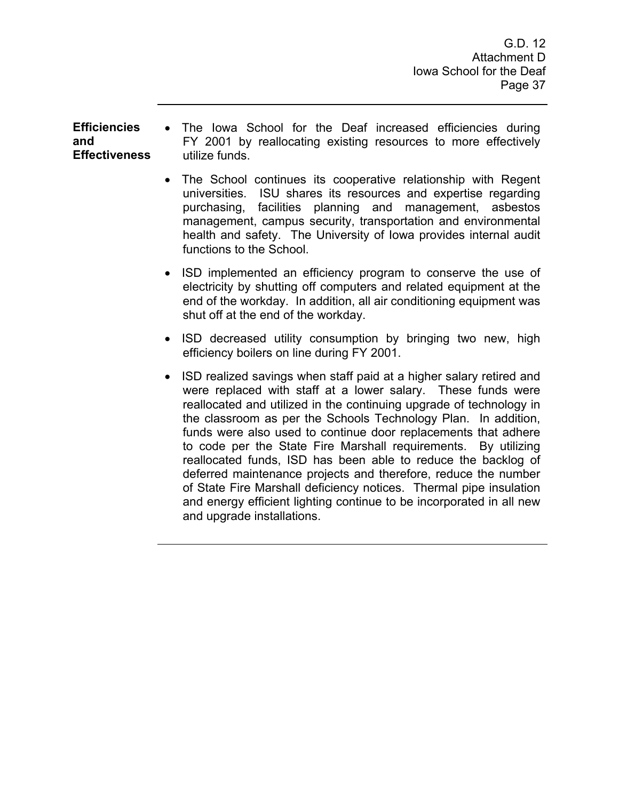#### **Efficiencies and Effectiveness**

- The Iowa School for the Deaf increased efficiencies during FY 2001 by reallocating existing resources to more effectively utilize funds.
- The School continues its cooperative relationship with Regent universities. ISU shares its resources and expertise regarding purchasing, facilities planning and management, asbestos management, campus security, transportation and environmental health and safety. The University of Iowa provides internal audit functions to the School.
- ISD implemented an efficiency program to conserve the use of electricity by shutting off computers and related equipment at the end of the workday. In addition, all air conditioning equipment was shut off at the end of the workday.
- ISD decreased utility consumption by bringing two new, high efficiency boilers on line during FY 2001.
- ISD realized savings when staff paid at a higher salary retired and were replaced with staff at a lower salary. These funds were reallocated and utilized in the continuing upgrade of technology in the classroom as per the Schools Technology Plan. In addition, funds were also used to continue door replacements that adhere to code per the State Fire Marshall requirements. By utilizing reallocated funds, ISD has been able to reduce the backlog of deferred maintenance projects and therefore, reduce the number of State Fire Marshall deficiency notices. Thermal pipe insulation and energy efficient lighting continue to be incorporated in all new and upgrade installations.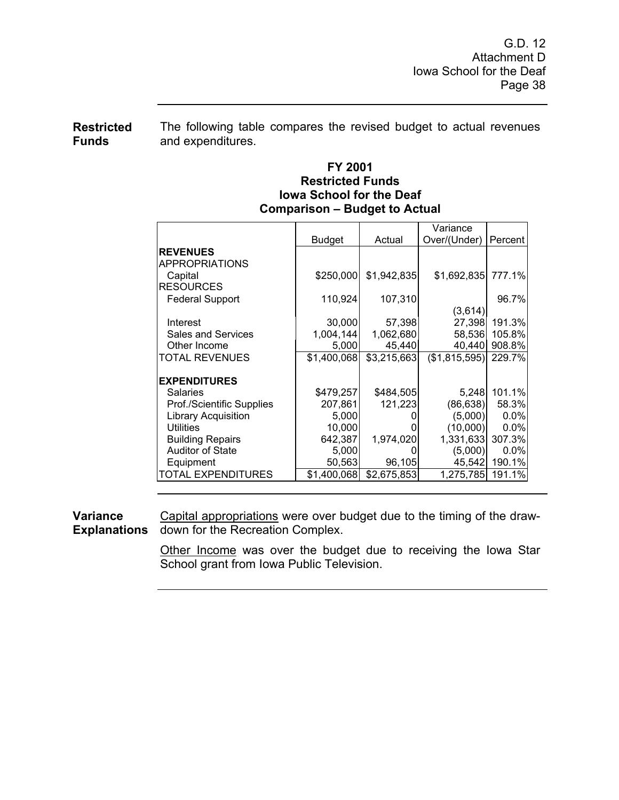**Restricted Funds**  The following table compares the revised budget to actual revenues and expenditures.

## **FY 2001 Restricted Funds Iowa School for the Deaf Comparison – Budget to Actual**

|                            |               |             | Variance              |         |
|----------------------------|---------------|-------------|-----------------------|---------|
|                            | <b>Budget</b> | Actual      | Over/(Under)          | Percent |
| <b>REVENUES</b>            |               |             |                       |         |
| APPROPRIATIONS             |               |             |                       |         |
| Capital                    | \$250,000     | \$1,942,835 | \$1,692,835           | 777.1%  |
| <b>RESOURCES</b>           |               |             |                       |         |
| <b>Federal Support</b>     | 110,924       | 107,310     |                       | 96.7%   |
|                            |               |             | (3,614)               |         |
| Interest                   | 30,000        | 57,398      | 27,398                | 191.3%l |
| <b>Sales and Services</b>  | 1,004,144     | 1,062,680   | 58,536                | 105.8%  |
| Other Income               | 5,000         | 45,440      | 40,440                | 908.8%  |
| <b>TOTAL REVENUES</b>      | \$1,400,068   | \$3,215,663 | $($1,815,595)$ 229.7% |         |
|                            |               |             |                       |         |
| <b>EXPENDITURES</b>        |               |             |                       |         |
| <b>Salaries</b>            | \$479,257     | \$484,505   | 5,248                 | 101.1%  |
| Prof./Scientific Supplies  | 207,861       | 121,223     | (86, 638)             | 58.3%   |
| <b>Library Acquisition</b> | 5,000         |             | (5,000)               | $0.0\%$ |
| <b>Utilities</b>           | 10,000        |             | (10,000)              | $0.0\%$ |
| <b>Building Repairs</b>    | 642,387       | 1,974,020   | 1,331,633             | 307.3%  |
| <b>Auditor of State</b>    | 5,000         |             | (5,000)               | $0.0\%$ |
| Equipment                  | 50,563        | 96,105      | 45,542                | 190.1%  |
| TOTAL EXPENDITURES         | \$1,400,068   | \$2,675,853 | 1,275,785             | 191.1%  |

**Variance Explanations**  Capital appropriations were over budget due to the timing of the drawdown for the Recreation Complex.

> Other Income was over the budget due to receiving the Iowa Star School grant from Iowa Public Television.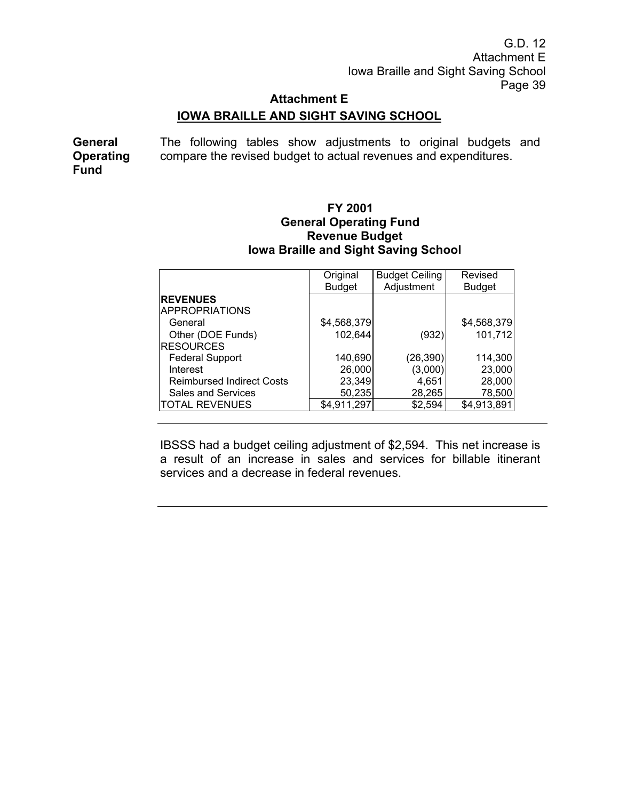G.D. 12 Attachment E Iowa Braille and Sight Saving School Page 39

# **Attachment E**

# **IOWA BRAILLE AND SIGHT SAVING SCHOOL**

**General Operating Fund**  The following tables show adjustments to original budgets and compare the revised budget to actual revenues and expenditures.

## **FY 2001 General Operating Fund Revenue Budget Iowa Braille and Sight Saving School**

|                                  | Original      | <b>Budget Ceiling</b> | Revised       |
|----------------------------------|---------------|-----------------------|---------------|
|                                  | <b>Budget</b> | Adjustment            | <b>Budget</b> |
| <b>REVENUES</b>                  |               |                       |               |
| <b>APPROPRIATIONS</b>            |               |                       |               |
| General                          | \$4,568,379   |                       | \$4,568,379   |
| Other (DOE Funds)                | 102,644       | (932)                 | 101,712       |
| <b>RESOURCES</b>                 |               |                       |               |
| <b>Federal Support</b>           | 140,690       | (26, 390)             | 114,300       |
| Interest                         | 26,000        | (3,000)               | 23,000        |
| <b>Reimbursed Indirect Costs</b> | 23,349        | 4,651                 | 28,000        |
| Sales and Services               | 50,235        | 28,265                | 78,500        |
| <b>TOTAL REVENUES</b>            | \$4,911,297   | \$2,594               | \$4,913,891   |

IBSSS had a budget ceiling adjustment of \$2,594. This net increase is a result of an increase in sales and services for billable itinerant services and a decrease in federal revenues.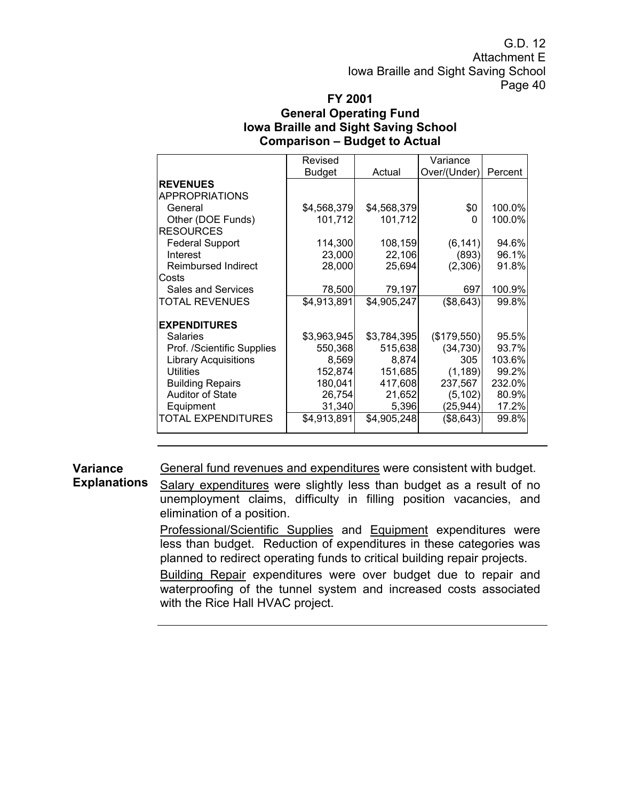G.D. 12 Attachment E Iowa Braille and Sight Saving School Page 40

# **FY 2001**

### **General Operating Fund Iowa Braille and Sight Saving School Comparison – Budget to Actual**

|                             | Revised       |             | Variance     |         |
|-----------------------------|---------------|-------------|--------------|---------|
|                             | <b>Budget</b> | Actual      | Over/(Under) | Percent |
| <b>REVENUES</b>             |               |             |              |         |
| <b>APPROPRIATIONS</b>       |               |             |              |         |
| General                     | \$4,568,379   | \$4,568,379 | \$0          | 100.0%  |
| Other (DOE Funds)           | 101,712       | 101,712     | 0            | 100.0%  |
| <b>RESOURCES</b>            |               |             |              |         |
| <b>Federal Support</b>      | 114,300       | 108,159     | (6, 141)     | 94.6%   |
| Interest                    | 23,000        | 22,106      | (893)        | 96.1%   |
| <b>Reimbursed Indirect</b>  | 28,000        | 25,694      | (2,306)      | 91.8%   |
| Costs                       |               |             |              |         |
| <b>Sales and Services</b>   | 78,500        | 79,197      | 697          | 100.9%  |
| TOTAL REVENUES              | \$4,913,891   | \$4,905,247 | (\$8,643)    | 99.8%   |
| <b>EXPENDITURES</b>         |               |             |              |         |
| <b>Salaries</b>             | \$3,963,945   | \$3,784,395 | (\$179,550)  | 95.5%   |
| Prof. /Scientific Supplies  | 550,368       | 515,638     | (34, 730)    | 93.7%   |
| <b>Library Acquisitions</b> | 8,569         | 8,874       | 305          | 103.6%  |
| <b>Utilities</b>            | 152,874       | 151,685     | (1, 189)     | 99.2%   |
| <b>Building Repairs</b>     | 180,041       | 417,608     | 237,567      | 232.0%  |
| <b>Auditor of State</b>     | 26,754        | 21,652      | (5, 102)     | 80.9%   |
| Equipment                   | 31,340        | 5,396       | (25, 944)    | 17.2%   |
| TOTAL EXPENDITURES          | \$4,913,891   | \$4,905,248 | (\$8,643)    | 99.8%   |

**Variance**  General fund revenues and expenditures were consistent with budget.

**Explanations**  Salary expenditures were slightly less than budget as a result of no unemployment claims, difficulty in filling position vacancies, and elimination of a position.

> Professional/Scientific Supplies and Equipment expenditures were less than budget. Reduction of expenditures in these categories was planned to redirect operating funds to critical building repair projects.

> Building Repair expenditures were over budget due to repair and waterproofing of the tunnel system and increased costs associated with the Rice Hall HVAC project.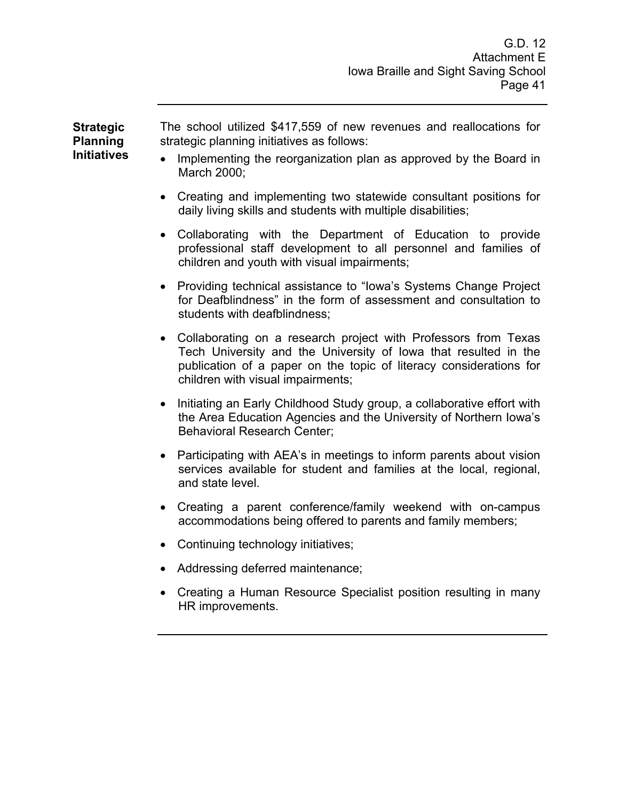**Strategic Planning Initiatives**  The school utilized \$417,559 of new revenues and reallocations for strategic planning initiatives as follows:

- Implementing the reorganization plan as approved by the Board in March 2000;
- Creating and implementing two statewide consultant positions for daily living skills and students with multiple disabilities;
- Collaborating with the Department of Education to provide professional staff development to all personnel and families of children and youth with visual impairments;
- Providing technical assistance to "Iowa's Systems Change Project for Deafblindness" in the form of assessment and consultation to students with deafblindness;
- Collaborating on a research project with Professors from Texas Tech University and the University of Iowa that resulted in the publication of a paper on the topic of literacy considerations for children with visual impairments;
- Initiating an Early Childhood Study group, a collaborative effort with the Area Education Agencies and the University of Northern Iowa's Behavioral Research Center;
- Participating with AEA's in meetings to inform parents about vision services available for student and families at the local, regional, and state level.
- Creating a parent conference/family weekend with on-campus accommodations being offered to parents and family members;
- Continuing technology initiatives;
- Addressing deferred maintenance;
- Creating a Human Resource Specialist position resulting in many HR improvements.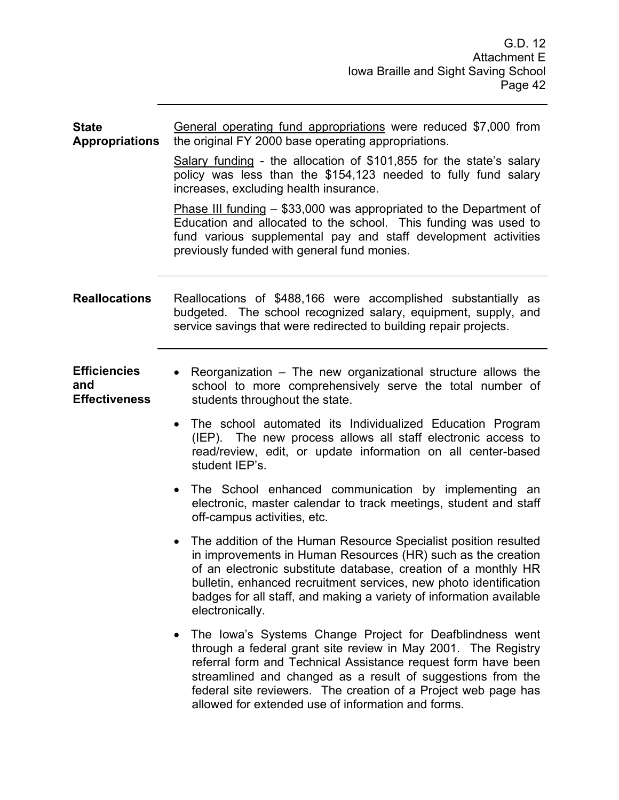| <b>State</b><br><b>Appropriations</b>              | General operating fund appropriations were reduced \$7,000 from<br>the original FY 2000 base operating appropriations.                                                                                                                                                                                                                                                            |  |  |  |  |
|----------------------------------------------------|-----------------------------------------------------------------------------------------------------------------------------------------------------------------------------------------------------------------------------------------------------------------------------------------------------------------------------------------------------------------------------------|--|--|--|--|
|                                                    | Salary funding - the allocation of $$101,855$ for the state's salary<br>policy was less than the \$154,123 needed to fully fund salary<br>increases, excluding health insurance.                                                                                                                                                                                                  |  |  |  |  |
|                                                    | <b>Phase III funding - \$33,000 was appropriated to the Department of</b><br>Education and allocated to the school. This funding was used to<br>fund various supplemental pay and staff development activities<br>previously funded with general fund monies.                                                                                                                     |  |  |  |  |
| <b>Reallocations</b>                               | Reallocations of \$488,166 were accomplished substantially as<br>budgeted. The school recognized salary, equipment, supply, and<br>service savings that were redirected to building repair projects.                                                                                                                                                                              |  |  |  |  |
| <b>Efficiencies</b><br>and<br><b>Effectiveness</b> | Reorganization – The new organizational structure allows the<br>$\bullet$<br>school to more comprehensively serve the total number of<br>students throughout the state.                                                                                                                                                                                                           |  |  |  |  |
|                                                    | The school automated its Individualized Education Program<br>$\bullet$<br>(IEP). The new process allows all staff electronic access to<br>read/review, edit, or update information on all center-based<br>student IEP's.                                                                                                                                                          |  |  |  |  |
|                                                    | The School enhanced communication by implementing an<br>$\bullet$<br>electronic, master calendar to track meetings, student and staff<br>off-campus activities, etc.                                                                                                                                                                                                              |  |  |  |  |
|                                                    | The addition of the Human Resource Specialist position resulted<br>$\bullet$<br>in improvements in Human Resources (HR) such as the creation<br>of an electronic substitute database, creation of a monthly HR<br>bulletin, enhanced recruitment services, new photo identification<br>badges for all staff, and making a variety of information available<br>electronically.     |  |  |  |  |
|                                                    | The Iowa's Systems Change Project for Deafblindness went<br>through a federal grant site review in May 2001. The Registry<br>referral form and Technical Assistance request form have been<br>streamlined and changed as a result of suggestions from the<br>federal site reviewers. The creation of a Project web page has<br>allowed for extended use of information and forms. |  |  |  |  |